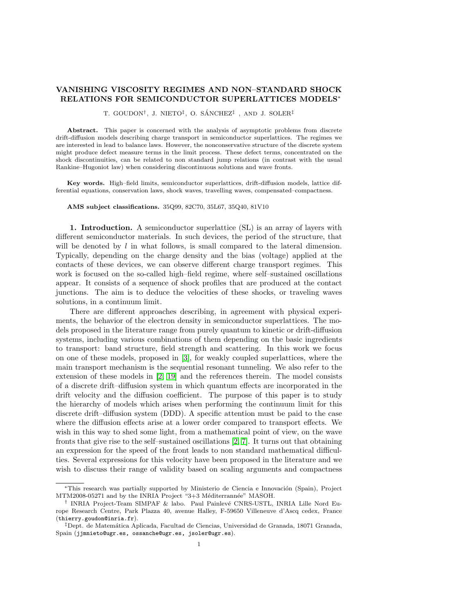## VANISHING VISCOSITY REGIMES AND NON–STANDARD SHOCK RELATIONS FOR SEMICONDUCTOR SUPERLATTICES MODELS<sup>∗</sup>

T. GOUDON<sup>†</sup>, J. NIETO<sup>‡</sup>, O. SÁNCHEZ<sup>‡</sup> , AND J. SOLER<sup>‡</sup>

Abstract. This paper is concerned with the analysis of asymptotic problems from discrete drift-diffusion models describing charge transport in semiconductor superlattices. The regimes we are interested in lead to balance laws. However, the nonconservative structure of the discrete system might produce defect measure terms in the limit process. These defect terms, concentrated on the shock discontinuities, can be related to non standard jump relations (in contrast with the usual Rankine–Hugoniot law) when considering discontinuous solutions and wave fronts.

Key words. High–field limits, semiconductor superlattices, drift-diffusion models, lattice differential equations, conservation laws, shock waves, travelling waves, compensated–compactness.

AMS subject classifications. 35Q99, 82C70, 35L67, 35Q40, 81V10

1. Introduction. A semiconductor superlattice (SL) is an array of layers with different semiconductor materials. In such devices, the period of the structure, that will be denoted by  $l$  in what follows, is small compared to the lateral dimension. Typically, depending on the charge density and the bias (voltage) applied at the contacts of these devices, we can observe different charge transport regimes. This work is focused on the so-called high–field regime, where self–sustained oscillations appear. It consists of a sequence of shock profiles that are produced at the contact junctions. The aim is to deduce the velocities of these shocks, or traveling waves solutions, in a continuum limit.

There are different approaches describing, in agreement with physical experiments, the behavior of the electron density in semiconductor superlattices. The models proposed in the literature range from purely quantum to kinetic or drift-diffusion systems, including various combinations of them depending on the basic ingredients to transport: band structure, field strength and scattering. In this work we focus on one of these models, proposed in [\[3\]](#page-19-0), for weakly coupled superlattices, where the main transport mechanism is the sequential resonant tunneling. We also refer to the extension of these models in [\[2,](#page-19-1) [19\]](#page-20-0) and the references therein. The model consists of a discrete drift–diffusion system in which quantum effects are incorporated in the drift velocity and the diffusion coefficient. The purpose of this paper is to study the hierarchy of models which arises when performing the continuum limit for this discrete drift–diffusion system (DDD). A specific attention must be paid to the case where the diffusion effects arise at a lower order compared to transport effects. We wish in this way to shed some light, from a mathematical point of view, on the wave fronts that give rise to the self–sustained oscillations [\[2,](#page-19-1) [7\]](#page-19-2). It turns out that obtaining an expression for the speed of the front leads to non standard mathematical difficulties. Several expressions for this velocity have been proposed in the literature and we wish to discuss their range of validity based on scaling arguments and compactness

<sup>\*</sup>This research was partially supported by Ministerio de Ciencia e Innovación (Spain), Project MTM2008-05271 and by the INRIA Project "3+3 Méditerrannée" MASOH.

<sup>&</sup>lt;sup>†</sup> INRIA Project-Team SIMPAF & labo. Paul Painlevé CNRS-USTL, INRIA Lille Nord Europe Research Centre, Park Plazza 40, avenue Halley, F-59650 Villeneuve d'Ascq cedex, France (thierry.goudon@inria.fr).

<sup>‡</sup>Dept. de Matem´atica Aplicada, Facultad de Ciencias, Universidad de Granada, 18071 Granada, Spain (jjmnieto@ugr.es, ossanche@ugr.es, jsoler@ugr.es).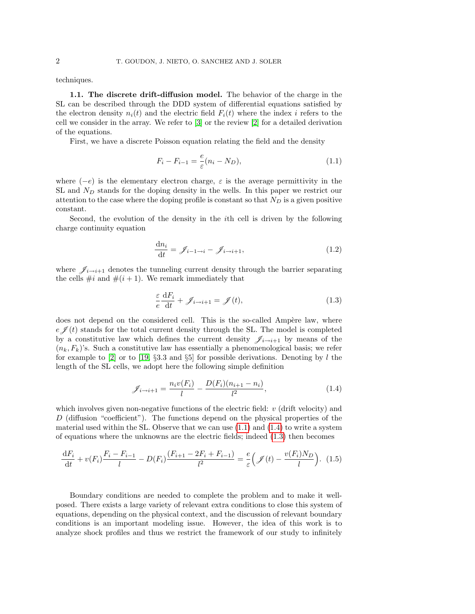techniques.

1.1. The discrete drift-diffusion model. The behavior of the charge in the SL can be described through the DDD system of differential equations satisfied by the electron density  $n_i(t)$  and the electric field  $F_i(t)$  where the index i refers to the cell we consider in the array. We refer to [\[3\]](#page-19-0) or the review [\[2\]](#page-19-1) for a detailed derivation of the equations.

First, we have a discrete Poisson equation relating the field and the density

<span id="page-1-0"></span>
$$
F_i - F_{i-1} = \frac{e}{\varepsilon} (n_i - N_D),
$$
\n(1.1)

where  $(-e)$  is the elementary electron charge,  $\varepsilon$  is the average permittivity in the SL and  $N_D$  stands for the doping density in the wells. In this paper we restrict our attention to the case where the doping profile is constant so that  $N_D$  is a given positive constant.

Second, the evolution of the density in the ith cell is driven by the following charge continuity equation

$$
\frac{\mathrm{d}n_i}{\mathrm{d}t} = \mathscr{J}_{i-1 \to i} - \mathscr{J}_{i \to i+1},\tag{1.2}
$$

where  $\mathscr{J}_{i\to i+1}$  denotes the tunneling current density through the barrier separating the cells  $\#i$  and  $\#(i+1)$ . We remark immediately that

<span id="page-1-2"></span><span id="page-1-1"></span>
$$
\frac{\varepsilon}{e} \frac{\mathrm{d}F_i}{\mathrm{d}t} + \mathscr{J}_{i \to i+1} = \mathscr{J}(t),\tag{1.3}
$$

does not depend on the considered cell. This is the so-called Ampère law, where  $e \nless (t)$  stands for the total current density through the SL. The model is completed by a constitutive law which defines the current density  $\mathscr{J}_{i\to i+1}$  by means of the  $(n_k, F_k)$ 's. Such a constitutive law has essentially a phenomenological basis; we refer for example to [\[2\]](#page-19-1) or to [\[19,](#page-20-0) §3.3 and §5] for possible derivations. Denoting by l the length of the SL cells, we adopt here the following simple definition

<span id="page-1-3"></span>
$$
\mathcal{J}_{i \to i+1} = \frac{n_i v(F_i)}{l} - \frac{D(F_i)(n_{i+1} - n_i)}{l^2},\tag{1.4}
$$

which involves given non-negative functions of the electric field:  $v$  (drift velocity) and D (diffusion "coefficient"). The functions depend on the physical properties of the material used within the SL. Observe that we can use  $(1.1)$  and  $(1.4)$  to write a system of equations where the unknowns are the electric fields; indeed [\(1.3\)](#page-1-2) then becomes

$$
\frac{dF_i}{dt} + v(F_i) \frac{F_i - F_{i-1}}{l} - D(F_i) \frac{(F_{i+1} - 2F_i + F_{i-1})}{l^2} = \frac{e}{\varepsilon} \left( \mathcal{J}(t) - \frac{v(F_i)N_D}{l} \right). \tag{1.5}
$$

Boundary conditions are needed to complete the problem and to make it wellposed. There exists a large variety of relevant extra conditions to close this system of equations, depending on the physical context, and the discussion of relevant boundary conditions is an important modeling issue. However, the idea of this work is to analyze shock profiles and thus we restrict the framework of our study to infinitely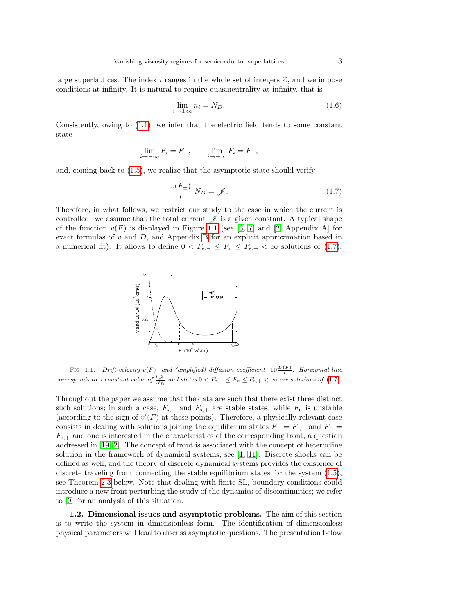large superlattices. The index  $i$  ranges in the whole set of integers  $\mathbb{Z}$ , and we impose conditions at infinity. It is natural to require quasineutrality at infinity, that is

<span id="page-2-2"></span>
$$
\lim_{i \to \pm \infty} n_i = N_D. \tag{1.6}
$$

Consistently, owing to [\(1.1\)](#page-1-0), we infer that the electric field tends to some constant state

$$
\lim_{i \to -\infty} F_i = F_-, \qquad \lim_{i \to +\infty} F_i = F_+,
$$

and, coming back to [\(1.5\)](#page-1-3), we realize that the asymptotic state should verify

<span id="page-2-1"></span>
$$
\frac{v(F_{\pm})}{l} N_D = \mathscr{J}.
$$
 (1.7)

Therefore, in what follows, we restrict our study to the case in which the current is controlled: we assume that the total current  $\mathscr I$  is a given constant. A typical shape of the function  $v(F)$  is displayed in Figure [1.1](#page-2-0) (see [\[3,](#page-19-0) [7\]](#page-19-2) and [\[2,](#page-19-1) Appendix A] for exact formulas of  $v$  and  $D$ , and Appendix [B](#page-19-3) for an explicit approximation based in a numerical fit). It allows to define  $0 < F_{s,-} \leq F_u \leq F_{s,+} < \infty$  solutions of [\(1.7\)](#page-2-1).



<span id="page-2-0"></span>FIG. 1.1. Drift-velocity  $v(F)$  and (amplified) diffusion coefficient  $10\frac{D(F)}{l}$ . Horizontal line corresponds to a constant value of  $\frac{l}{N_D}$  and states  $0 < F_{s,-} \leq F_u \leq F_{s,+} < \infty$  are solutions of [\(1.7\)](#page-2-1).

Throughout the paper we assume that the data are such that there exist three distinct such solutions; in such a case,  $F_{s,-}$  and  $F_{s,+}$  are stable states, while  $F_u$  is unstable (according to the sign of  $v'(F)$  at these points). Therefore, a physically relevant case consists in dealing with solutions joining the equilibrium states  $F = F_{s-}$  and  $F_{+} =$  $F_{s,+}$  and one is interested in the characteristics of the corresponding front, a question addressed in [\[19,](#page-20-0) [2\]](#page-19-1). The concept of front is associated with the concept of heterocline solution in the framework of dynamical systems, see [\[1,](#page-19-4) [11\]](#page-19-5). Discrete shocks can be defined as well, and the theory of discrete dynamical systems provides the existence of discrete traveling front connecting the stable equilibrium states for the system [\(1.5\)](#page-1-3), see Theorem [2.3](#page-8-0) below. Note that dealing with finite SL, boundary conditions could introduce a new front perturbing the study of the dynamics of discontinuities; we refer to [\[9\]](#page-19-6) for an analysis of this situation.

1.2. Dimensional issues and asymptotic problems. The aim of this section is to write the system in dimensionless form. The identification of dimensionless physical parameters will lead to discuss asymptotic questions. The presentation below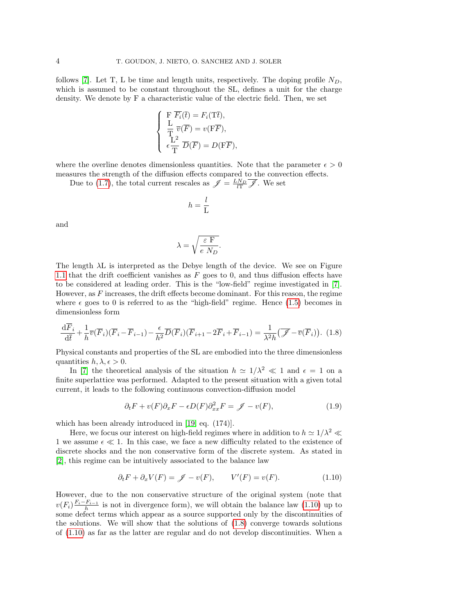follows [\[7\]](#page-19-2). Let T, L be time and length units, respectively. The doping profile  $N_D$ , which is assumed to be constant throughout the SL, defines a unit for the charge density. We denote by F a characteristic value of the electric field. Then, we set

$$
\begin{cases}\n\mathbf{F}\ \overline{F_i}(\overline{t}) = F_i(\mathbf{T}\overline{t}), \\
\frac{\mathbf{L}}{\mathbf{T}}\ \overline{v}(\overline{F}) = v(\mathbf{F}\overline{F}), \\
\epsilon \frac{\mathbf{L}^2}{\mathbf{T}}\ \overline{D}(\overline{F}) = D(\mathbf{F}\overline{F}),\n\end{cases}
$$

where the overline denotes dimensionless quantities. Note that the parameter  $\epsilon > 0$ measures the strength of the diffusion effects compared to the convection effects.

Due to [\(1.7\)](#page-2-1), the total current rescales as  $\mathscr{J} = \frac{LN_D}{l\mathcal{T}} \mathscr{J}$ . We set

$$
h=\frac{l}{\mathrm{L}}
$$

and

$$
\lambda = \sqrt{\frac{\varepsilon \, F}{e \, N_D}}.
$$

The length  $\lambda$ L is interpreted as the Debye length of the device. We see on Figure [1.1](#page-2-0) that the drift coefficient vanishes as  $F$  goes to 0, and thus diffusion effects have to be considered at leading order. This is the "low-field" regime investigated in [\[7\]](#page-19-2). However, as  $F$  increases, the drift effects become dominant. For this reason, the regime where  $\epsilon$  goes to 0 is referred to as the "high-field" regime. Hence [\(1.5\)](#page-1-3) becomes in dimensionless form

<span id="page-3-1"></span>
$$
\frac{\mathrm{d}\overline{F}_i}{\mathrm{d}\overline{t}} + \frac{1}{h}\overline{v}(\overline{F}_i)(\overline{F}_i - \overline{F}_{i-1}) - \frac{\epsilon}{h^2}\overline{D}(\overline{F}_i)(\overline{F}_{i+1} - 2\overline{F}_i + \overline{F}_{i-1}) = \frac{1}{\lambda^2 h}(\overline{\mathscr{J}} - \overline{v}(\overline{F}_i)). \tag{1.8}
$$

Physical constants and properties of the SL are embodied into the three dimensionless quantities  $h, \lambda, \epsilon > 0$ .

In [\[7\]](#page-19-2) the theoretical analysis of the situation  $h \approx 1/\lambda^2 \ll 1$  and  $\epsilon = 1$  on a finite superlattice was performed. Adapted to the present situation with a given total current, it leads to the following continuous convection-diffusion model

<span id="page-3-0"></span>
$$
\partial_t F + v(F)\partial_x F - \epsilon D(F)\partial_{xx}^2 F = \mathscr{J} - v(F),\tag{1.9}
$$

which has been already introduced in [\[19,](#page-20-0) eq. (174)].

Here, we focus our interest on high-field regimes where in addition to  $h \simeq 1/\lambda^2 \ll$ 1 we assume  $\epsilon \ll 1$ . In this case, we face a new difficulty related to the existence of discrete shocks and the non conservative form of the discrete system. As stated in [\[2\]](#page-19-1), this regime can be intuitively associated to the balance law

$$
\partial_t F + \partial_x V(F) = \mathscr{J} - v(F), \qquad V'(F) = v(F). \tag{1.10}
$$

However, due to the non conservative structure of the original system (note that  $v(F_i)\frac{F_i-F_{i-1}}{h}$  is not in divergence form), we will obtain the balance law [\(1.10\)](#page-3-0) up to some defect terms which appear as a source supported only by the discontinuities of the solutions. We will show that the solutions of  $(1.8)$  converge towards solutions of [\(1.10\)](#page-3-0) as far as the latter are regular and do not develop discontinuities. When a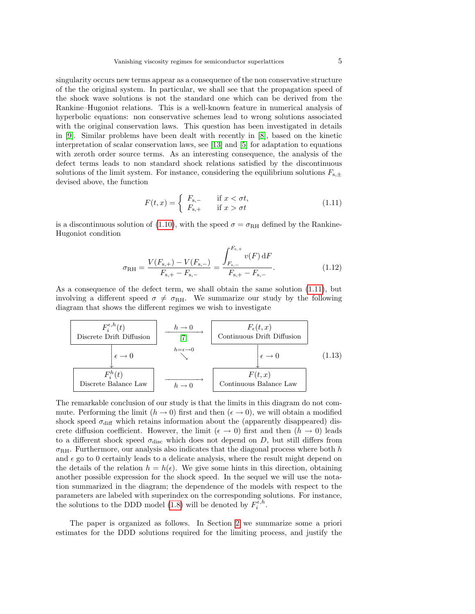singularity occurs new terms appear as a consequence of the non conservative structure of the the original system. In particular, we shall see that the propagation speed of the shock wave solutions is not the standard one which can be derived from the Rankine–Hugoniot relations. This is a well-known feature in numerical analysis of hyperbolic equations: non conservative schemes lead to wrong solutions associated with the original conservation laws. This question has been investigated in details in [\[9\]](#page-19-6). Similar problems have been dealt with recently in [\[8\]](#page-19-7), based on the kinetic interpretation of scalar conservation laws, see [\[13\]](#page-19-8) and [\[5\]](#page-19-9) for adaptation to equations with zeroth order source terms. As an interesting consequence, the analysis of the defect terms leads to non standard shock relations satisfied by the discontinuous solutions of the limit system. For instance, considering the equilibrium solutions  $F_{s,\pm}$ devised above, the function

<span id="page-4-0"></span>
$$
F(t,x) = \begin{cases} F_{s,-} & \text{if } x < \sigma t, \\ F_{s,+} & \text{if } x > \sigma t \end{cases}
$$
 (1.11)

is a discontinuous solution of [\(1.10\)](#page-3-0), with the speed  $\sigma = \sigma_{\rm RH}$  defined by the Rankine-Hugoniot condition

<span id="page-4-2"></span><span id="page-4-1"></span>
$$
\sigma_{\rm RH} = \frac{V(F_{\rm s,+}) - V(F_{\rm s,-})}{F_{\rm s,+} - F_{\rm s,-}} = \frac{\int_{F_{\rm s,-}}^{F_{\rm s,+}} v(F) \, \mathrm{d}F}{F_{\rm s,+} - F_{\rm s,-}}.
$$
\n(1.12)

As a consequence of the defect term, we shall obtain the same solution [\(1.11\)](#page-4-0), but involving a different speed  $\sigma \neq \sigma_{\text{RH}}$ . We summarize our study by the following diagram that shows the different regimes we wish to investigate

$$
F_i^{\epsilon, h}(t)
$$
\nDiscrete Drift Diffusion\n
$$
\begin{array}{c|c}\n & h \rightarrow 0 \\
\hline\n\begin{array}{c|c}\n\hline\n\end{array} & h \rightarrow 0 \\
\hline\n\begin{array}{c|c}\n\hline\n\end{array} & \text{Continuous Drift Diffusion} \\
\hline\n\end{array}
$$
\n
$$
\begin{array}{c|c}\n\hline\n\end{array} & \epsilon \rightarrow 0 \\
\hline\n\begin{array}{c|c}\nF_i^h(t) \\
\hline\n\end{array} & \rightarrow\n\end{array}
$$
\n
$$
\begin{array}{c|c}\nF_i^h(t) \\
\hline\n\end{array}
$$
\n
$$
\begin{array}{c|c}\nF_i^h(t) \\
\hline\n\end{array}
$$
\n
$$
\begin{array}{c|c}\n\hline\n\end{array}
$$
\n
$$
\begin{array}{c|c}\n\hline\n\end{array}
$$
\n
$$
\begin{array}{c|c}\n\hline\n\end{array}
$$
\n
$$
\begin{array}{c}\n\hline\n\end{array}
$$
\n
$$
\begin{array}{c}\n\hline\n\end{array}
$$
\n
$$
\begin{array}{c}\n\hline\n\end{array}
$$
\n
$$
\begin{array}{c}\n\hline\n\end{array}
$$
\n
$$
\begin{array}{c}\n\hline\n\end{array}
$$
\n
$$
\begin{array}{c}\n\hline\n\end{array}
$$
\n
$$
\begin{array}{c}\n\hline\n\end{array}
$$
\n
$$
\begin{array}{c}\n\hline\n\end{array}
$$
\n
$$
\begin{array}{c}\n\hline\n\end{array}
$$
\n
$$
\begin{array}{c}\n\hline\n\end{array}
$$
\n
$$
\begin{array}{c}\n\hline\n\end{array}
$$
\n
$$
\begin{array}{c}\n\hline\n\end{array}
$$
\n
$$
\begin{array}{c}\n\hline\n\end{array}
$$
\n
$$
\begin{array}{c}\n\hline\n\end{array}
$$
\n
$$
\begin{array}{c}\n\hline\n\end{array}
$$
\n
$$
\begin{array}{c}\n\hline\n\end{array}
$$
\n
$$
\begin{array}{c}\n\hline\n\
$$

The remarkable conclusion of our study is that the limits in this diagram do not commute. Performing the limit  $(h \to 0)$  first and then  $(\epsilon \to 0)$ , we will obtain a modified shock speed  $\sigma_{\text{diff}}$  which retains information about the (apparently disappeared) discrete diffusion coefficient. However, the limit ( $\epsilon \to 0$ ) first and then ( $h \to 0$ ) leads to a different shock speed  $\sigma_{\text{disc}}$  which does not depend on D, but still differs from  $\sigma_{\text{RH}}$ . Furthermore, our analysis also indicates that the diagonal process where both h and  $\epsilon$  go to 0 certainly leads to a delicate analysis, where the result might depend on the details of the relation  $h = h(\epsilon)$ . We give some hints in this direction, obtaining another possible expression for the shock speed. In the sequel we will use the notation summarized in the diagram; the dependence of the models with respect to the parameters are labeled with superindex on the corresponding solutions. For instance, the solutions to the DDD model [\(1.8\)](#page-3-1) will be denoted by  $F_i^{\bar{\epsilon},h}$ .

The paper is organized as follows. In Section [2](#page-5-0) we summarize some a priori estimates for the DDD solutions required for the limiting process, and justify the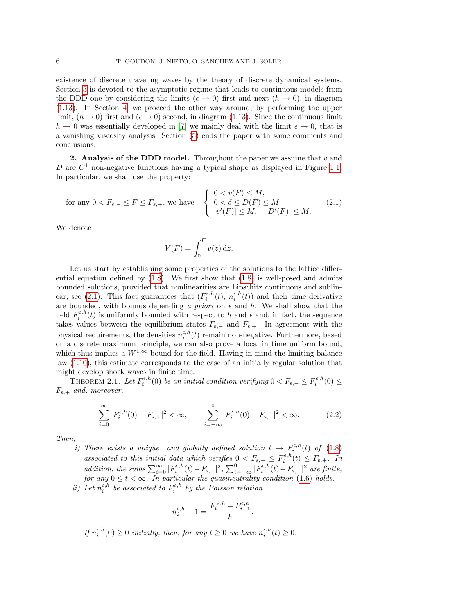existence of discrete traveling waves by the theory of discrete dynamical systems. Section [3](#page-9-0) is devoted to the asymptotic regime that leads to continuous models from the DDD one by considering the limits ( $\epsilon \to 0$ ) first and next ( $h \to 0$ ), in diagram [\(1.13\)](#page-4-1). In Section [4,](#page-13-0) we proceed the other way around, by performing the upper limit,  $(h \to 0)$  first and  $(\epsilon \to 0)$  second, in diagram [\(1.13\)](#page-4-1). Since the continuous limit  $h \to 0$  was essentially developed in [\[7\]](#page-19-2) we mainly deal with the limit  $\epsilon \to 0$ , that is a vanishing viscosity analysis. Section [\(5\)](#page-17-0) ends the paper with some comments and conclusions.

<span id="page-5-0"></span>2. Analysis of the DDD model. Throughout the paper we assume that  $v$  and D are  $C<sup>1</sup>$  non-negative functions having a typical shape as displayed in Figure [1.1.](#page-2-0) In particular, we shall use the property:

for any 
$$
0 < F_{s,-} \leq F \leq F_{s,+}
$$
, we have 
$$
\begin{cases} 0 < v(F) \leq M, \\ 0 < \delta \leq D(F) \leq M, \\ |v'(F)| \leq M, \quad |D'(F)| \leq M. \end{cases} \tag{2.1}
$$

We denote

<span id="page-5-1"></span>
$$
V(F) = \int_0^F v(z) \, \mathrm{d}z.
$$

Let us start by establishing some properties of the solutions to the lattice differential equation defined by  $(1.8)$ . We first show that  $(1.8)$  is well-posed and admits bounded solutions, provided that nonlinearities are Lipschitz continuous and sublin-ear, see [\(2.1\)](#page-5-1). This fact guarantees that  $(F_i^{\epsilon, h}(t), n_i^{\epsilon, h}(t))$  and their time derivative are bounded, with bounds depending a priori on  $\epsilon$  and h. We shall show that the field  $F_i^{\epsilon,h}(t)$  is uniformly bounded with respect to h and  $\epsilon$  and, in fact, the sequence takes values between the equilibrium states  $F_{s,-}$  and  $F_{s,+}$ . In agreement with the physical requirements, the densities  $n_i^{\epsilon, h}(t)$  remain non-negative. Furthermore, based on a discrete maximum principle, we can also prove a local in time uniform bound, which thus implies a  $W^{1,\infty}$  bound for the field. Having in mind the limiting balance law [\(1.10\)](#page-3-0), this estimate corresponds to the case of an initially regular solution that might develop shock waves in finite time.

THEOREM 2.1. Let  $F_i^{\epsilon,h}(0)$  be an initial condition verifying  $0 < F_{s,-} \leq F_i^{\epsilon,h}(0) \leq$  $F_{s,+}$  and, moreover,

<span id="page-5-2"></span>
$$
\sum_{i=0}^{\infty} |F_i^{\epsilon, h}(0) - F_{\mathbf{s},+}|^2 < \infty, \qquad \sum_{i=-\infty}^{0} |F_i^{\epsilon, h}(0) - F_{\mathbf{s},-}|^2 < \infty. \tag{2.2}
$$

Then,

i) There exists a unique and globally defined solution  $t \mapsto F_i^{\epsilon, h}(t)$  of  $(1.8)$ associated to this initial data which verifies  $0 < F_{s,-} \leq F_i^{\epsilon,h}(t) \leq F_{s,+}$ . In addition, the sums  $\sum_{i=0}^{\infty} |F_i^{\epsilon,h}(t) - F_{s,+}|^2$ ,  $\sum_{i=-\infty}^{0} |F_i^{\epsilon,h}(t) - F_{s,-}|^2$  are finite, for any  $0 \leq t < \infty$ . In particular the quasineutrality condition [\(1.6\)](#page-2-2) holds.

ii) Let  $n_i^{\epsilon, h}$  be associated to  $F_i^{\epsilon, h}$  by the Poisson relation

$$
n_i^{\epsilon, h} - 1 = \frac{F_i^{\epsilon, h} - F_{i-1}^{\epsilon, h}}{h}.
$$

If  $n_i^{\epsilon,h}(0) \ge 0$  initially, then, for any  $t \ge 0$  we have  $n_i^{\epsilon,h}(t) \ge 0$ .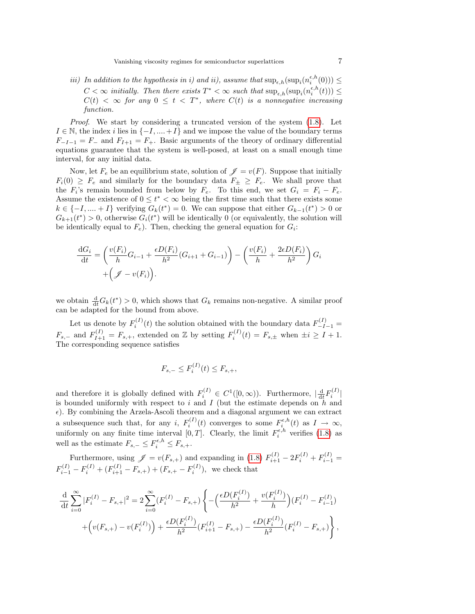iii) In addition to the hypothesis in i) and ii), assume that  $\sup_{\epsilon,h}(\sup_i(n_i^{\epsilon,h}(0))) \leq$  $C < \infty$  initially. Then there exists  $T^* < \infty$  such that  $\sup_{\epsilon,h}(\sup_i(n_i^{\epsilon,h}(t))) \leq$  $C(t) < \infty$  for any  $0 \leq t < T^*$ , where  $C(t)$  is a nonnegative increasing function.

*Proof.* We start by considering a truncated version of the system  $(1.8)$ . Let  $I \in \mathbb{N}$ , the index i lies in  $\{-I, ..., +I\}$  and we impose the value of the boundary terms  $F_{-I-1} = F_{-}$  and  $F_{I+1} = F_{+}$ . Basic arguments of the theory of ordinary differential equations guarantee that the system is well-posed, at least on a small enough time interval, for any initial data.

Now, let  $F_e$  be an equilibrium state, solution of  $\mathscr{J} = v(F)$ . Suppose that initially  $F_i(0) \geq F_e$  and similarly for the boundary data  $F_{\pm} \geq F_e$ . We shall prove that the  $F_i$ 's remain bounded from below by  $F_e$ . To this end, we set  $G_i = F_i - F_e$ . Assume the existence of  $0 \leq t^* < \infty$  being the first time such that there exists some  $k \in \{-1, \dots, +1\}$  verifying  $G_k(t^*) = 0$ . We can suppose that either  $G_{k-1}(t^*) > 0$  or  $G_{k+1}(t^*) > 0$ , otherwise  $G_i(t^*)$  will be identically 0 (or equivalently, the solution will be identically equal to  $F_e$ ). Then, checking the general equation for  $G_i$ :

$$
\frac{\mathrm{d}G_i}{\mathrm{d}t} = \left(\frac{v(F_i)}{h}G_{i-1} + \frac{\epsilon D(F_i)}{h^2}(G_{i+1} + G_{i-1})\right) - \left(\frac{v(F_i)}{h} + \frac{2\epsilon D(F_i)}{h^2}\right)G_i
$$

$$
+ \left(\mathcal{J} - v(F_i)\right).
$$

we obtain  $\frac{d}{dt}G_k(t^*) > 0$ , which shows that  $G_k$  remains non-negative. A similar proof can be adapted for the bound from above.

Let us denote by  $F_i^{(I)}(t)$  the solution obtained with the boundary data  $F_{-I-1}^{(I)}$  =  $F_{s,-}$  and  $F_{I+1}^{(I)} = F_{s,+}$ , extended on Z by setting  $F_i^{(I)}(t) = F_{s,\pm}$  when  $\pm i \geq I+1$ . The corresponding sequence satisfies

$$
F_{s,-} \le F_i^{(I)}(t) \le F_{s,+},
$$

and therefore it is globally defined with  $F_i^{(I)} \in C^1([0,\infty))$ . Furthermore,  $\left| \frac{d}{dt} F_i^{(I)} \right|$ is bounded uniformly with respect to i and I (but the estimate depends on h and  $\epsilon$ ). By combining the Arzela-Ascoli theorem and a diagonal argument we can extract a subsequence such that, for any i,  $F_i^{(I)}(t)$  converges to some  $F_i^{\epsilon,h}(t)$  as  $I \to \infty$ , uniformly on any finite time interval  $[0, T]$ . Clearly, the limit  $F_i^{\epsilon, h}$  verifies [\(1.8\)](#page-3-1) as well as the estimate  $F_{s,-} \leq F_i^{\epsilon, h} \leq F_{s,+}.$ 

Furthermore, using  $\mathscr{J} = v(F_{s,+})$  and expanding in [\(1.8\)](#page-3-1)  $F_{i+1}^{(I)} - 2F_i^{(I)} + F_{i-1}^{(I)} =$  $F_{i-1}^{(I)} - F_i^{(I)} + (F_{i+1}^{(I)} - F_{s,+}) + (F_{s,+} - F_i^{(I)}),$  we check that

$$
\frac{\mathrm{d}}{\mathrm{d}t} \sum_{i=0}^{\infty} |F_i^{(I)} - F_{s,+}|^2 = 2 \sum_{i=0}^{\infty} (F_i^{(I)} - F_{s,+}) \left\{ -\left(\frac{\epsilon D(F_i^{(I)})}{h^2} + \frac{v(F_i^{(I)})}{h}\right) (F_i^{(I)} - F_{i-1}^{(I)}) + \left(v(F_{s,+}) - v(F_i^{(I)})\right) + \frac{\epsilon D(F_i^{(I)})}{h^2} (F_{i+1}^{(I)} - F_{s,+}) - \frac{\epsilon D(F_i^{(I)})}{h^2} (F_i^{(I)} - F_{s,+})\right\},
$$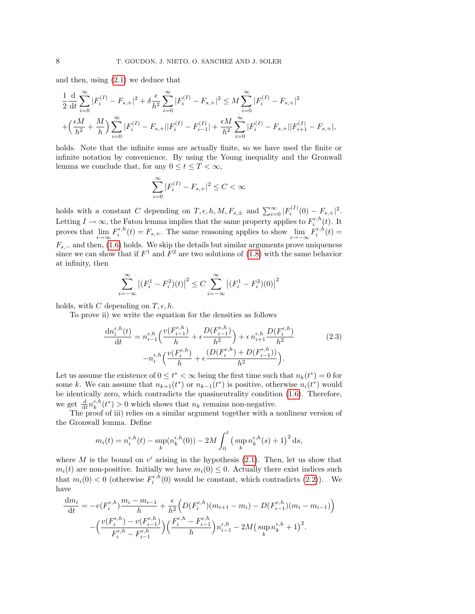and then, using [\(2.1\)](#page-5-1) we deduce that

$$
\begin{split} &\frac{1}{2}\frac{\mathrm{d}}{\mathrm{d}t}\sum_{i=0}^{\infty}|F_i^{(I)}-F_{s,+}|^2+\delta\frac{\epsilon}{h^2}\sum_{i=0}^{\infty}|F_i^{(I)}-F_{s,+}|^2\leq M\sum_{i=0}^{\infty}|F_i^{(I)}-F_{s,+}|^2\\ &+\left(\frac{\epsilon M}{h^2}+\frac{M}{h}\right)\sum_{i=0}^{\infty}|F_i^{(I)}-F_{s,+}||F_i^{(I)}-F_{i-1}^{(I)}|+\frac{\epsilon M}{h^2}\sum_{i=0}^{\infty}|F_i^{(I)}-F_{s,+}||F_{i+1}^{(I)}-F_{s,+}|, \end{split}
$$

holds. Note that the infinite sums are actually finite, so we have used the finite or infinite notation by convenience. By using the Young inequality and the Gronwall lemma we conclude that, for any  $0 \le t \le T < \infty$ ,

$$
\sum_{i=0}^\infty |F_i^{(I)}-F_{s,+}|^2\leq C<\infty
$$

holds with a constant C depending on  $T, \epsilon, h, M, F_{s,\pm}$  and  $\sum_{i=0}^{\infty} |F_i^{(I)}(0) - F_{s,+}|^2$ . Letting  $I \to \infty$ , the Fatou lemma implies that the same property applies to  $F_i^{\epsilon, h}(t)$ . It proves that  $\lim_{i \to \infty} F_i^{\epsilon, h}(t) = F_{s,+}$ . The same reasoning applies to show  $\lim_{i \to -\infty} F_i^{\epsilon, h}(t) =$  $F_{s,-}$  and then, [\(1.6\)](#page-2-2) holds. We skip the details but similar arguments prove uniqueness since we can show that if  $F^1$  and  $F^2$  are two solutions of [\(1.8\)](#page-3-1) with the same behavior at infinity, then

$$
\sum_{i=-\infty}^{\infty} |(F_i^1 - F_i^2)(t)|^2 \le C \sum_{i=-\infty}^{\infty} |(F_i^1 - F_i^2)(0)|^2
$$

holds, with C depending on  $T, \epsilon, h$ .

To prove ii) we write the equation for the densities as follows

$$
\frac{dn_i^{\epsilon,h}(t)}{dt} = n_{i-1}^{\epsilon,h} \left( \frac{v(F_{i-1}^{\epsilon,h})}{h} + \epsilon \frac{D(F_{i-1}^{\epsilon,h})}{h^2} \right) + \epsilon n_{i+1}^{\epsilon,h} \frac{D(F_i^{\epsilon,h})}{h^2} \qquad (2.3)
$$

$$
-n_i^{\epsilon,h} \left( \frac{v(F_i^{\epsilon,h})}{h} + \epsilon \frac{(D(F_i^{\epsilon,h}) + D(F_{i-1}^{\epsilon,h}))}{h^2} \right).
$$

Let us assume the existence of  $0 \leq t^* < \infty$  being the first time such that  $n_k(t^*) = 0$  for some k. We can assume that  $n_{k+1}(t^*)$  or  $n_{k-1}(t^*)$  is positive, otherwise  $n_i(t^*)$  would be identically zero, which contradicts the quasineutrality condition [\(1.6\)](#page-2-2). Therefore, we get  $\frac{d}{dt} n_k^{\epsilon, h}(t^*) > 0$  which shows that  $n_k$  remains non-negative.

The proof of iii) relies on a similar argument together with a nonlinear version of the Gronwall lemma. Define

$$
m_i(t) = n_i^{\epsilon, h}(t) - \sup_k(n_k^{\epsilon, h}(0)) - 2M \int_0^t \left(\sup_k n_k^{\epsilon, h}(s) + 1\right)^2 ds,
$$

where  $M$  is the bound on  $v'$  arising in the hypothesis  $(2.1)$ . Then, let us show that  $m_i(t)$  are non-positive. Initially we have  $m_i(0) \leq 0$ . Actually there exist indices such that  $m_i(0) < 0$  (otherwise  $F_i^{\epsilon, h}(0)$  would be constant, which contradicts [\(2.2\)](#page-5-2)). We have

$$
\frac{dm_i}{dt} = -v(F_i^{\epsilon, h}) \frac{m_i - m_{i-1}}{h} + \frac{\epsilon}{h^2} \left( D(F_i^{\epsilon, h}) (m_{i+1} - m_i) - D(F_{i-1}^{\epsilon, h}) (m_i - m_{i-1}) \right)
$$

$$
- \left( \frac{v(F_i^{\epsilon, h}) - v(F_{i-1}^{\epsilon, h})}{F_i^{\epsilon, h} - F_{i-1}^{\epsilon, h}} \right) \left( \frac{F_i^{\epsilon, h} - F_{i-1}^{\epsilon, h}}{h} \right) n_{i-1}^{\epsilon, h} - 2M \left( \sup_k n_k^{\epsilon, h} + 1 \right)^2.
$$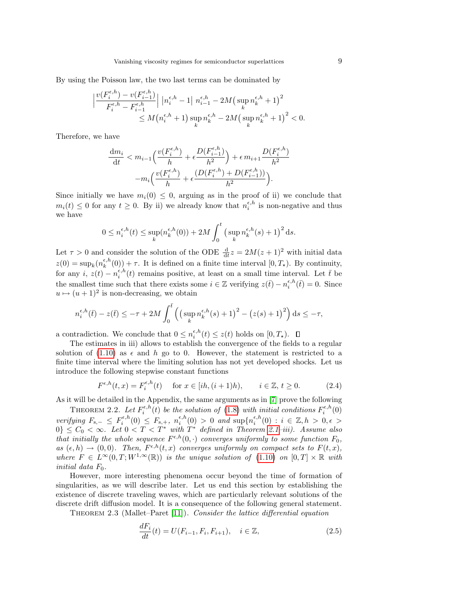By using the Poisson law, the two last terms can be dominated by

$$
\begin{aligned} \Big|\frac{v(F_i^{\epsilon,h})-v(F_{i-1}^{\epsilon,h})}{F_i^{\epsilon,h}-F_{i-1}^{\epsilon,h}}\Big|\,\left|n_i^{\epsilon,h}-1\right|\,n_{i-1}^{\epsilon,h}-2M\big(\sup_k n_k^{\epsilon,h}+1\big)^2\\ &\leq M\big(n_i^{\epsilon,h}+1\big)\sup_k n_k^{\epsilon,h}-2M\big(\sup_k n_k^{\epsilon,h}+1\big)^2<0. \end{aligned}
$$

Therefore, we have

$$
\frac{dm_i}{dt} < m_{i-1} \left( \frac{v(F_i^{\epsilon, h})}{h} + \epsilon \frac{D(F_{i-1}^{\epsilon, h})}{h^2} \right) + \epsilon \, m_{i+1} \frac{D(F_i^{\epsilon, h})}{h^2} - m_i \left( \frac{v(F_i^{\epsilon, h})}{h} + \epsilon \frac{(D(F_i^{\epsilon, h}) + D(F_{i-1}^{\epsilon, h}))}{h^2} \right).
$$

Since initially we have  $m_i(0) \leq 0$ , arguing as in the proof of ii) we conclude that  $m_i(t) \leq 0$  for any  $t \geq 0$ . By ii) we already know that  $n_i^{\epsilon,h}$  is non-negative and thus we have

$$
0 \leq n_i^{\epsilon, h}(t) \leq \sup_k (n_k^{\epsilon, h}(0)) + 2M \int_0^t \left(\sup_k n_k^{\epsilon, h}(s) + 1\right)^2 ds.
$$

Let  $\tau > 0$  and consider the solution of the ODE  $\frac{d}{dt}z = 2M(z+1)^2$  with initial data  $z(0) = \sup_k (n_k^{\epsilon, h}(0)) + \tau$ . It is defined on a finite time interval  $[0, T_{\star})$ . By continuity, for any  $i, z(t) - n_i^{\epsilon, h}(t)$  remains positive, at least on a small time interval. Let  $\bar{t}$  be the smallest time such that there exists some  $i \in \mathbb{Z}$  verifying  $z(\bar{t}) - n_i^{\epsilon,h}(\bar{t}) = 0$ . Since  $u \mapsto (u + 1)^2$  is non-decreasing, we obtain

$$
n_i^{\epsilon, h}(\bar{t}) - z(\bar{t}) \le -\tau + 2M \int_0^{\bar{t}} \left( \left( \sup_k n_k^{\epsilon, h}(s) + 1 \right)^2 - \left( z(s) + 1 \right)^2 \right) ds \le -\tau,
$$

a contradiction. We conclude that  $0 \leq n_i^{\epsilon, h}(t) \leq z(t)$  holds on  $[0, T_{\star}).$ 

The estimates in iii) allows to establish the convergence of the fields to a regular solution of [\(1.10\)](#page-3-0) as  $\epsilon$  and h go to 0. However, the statement is restricted to a finite time interval where the limiting solution has not yet developed shocks. Let us introduce the following stepwise constant functions

<span id="page-8-2"></span>
$$
F^{\epsilon,h}(t,x) = F_i^{\epsilon,h}(t) \quad \text{ for } x \in [ih, (i+1)h), \qquad i \in \mathbb{Z}, t \ge 0.
$$
 (2.4)

As it will be detailed in the Appendix, the same arguments as in [\[7\]](#page-19-2) prove the following

<span id="page-8-3"></span>THEOREM 2.2. Let  $F_i^{\epsilon,h}(t)$  be the solution of [\(1.8\)](#page-3-1) with initial conditions  $F_i^{\epsilon,h}(0)$  $i$  (*v*) be the solution of (1.8) with initial conditions  $\Gamma_i$ verifying  $F_{s,-} \leq F_i^{\epsilon,h}(0) \leq F_{s,+}, n_i^{\epsilon,h}(0) > 0$  and  $\sup\{n_i^{\epsilon,h}(0) : i \in \mathbb{Z}, h > 0, \epsilon > 0\}$  $0\}\leq C_0 < \infty$ . Let  $0 < T < T^*$  with  $T^*$  defined in Theorem 2.1-iii). Assume also that initially the whole sequence  $F^{\epsilon,h}(0, \cdot)$  converges uniformly to some function  $F_0$ , as  $(\epsilon, h) \to (0, 0)$ . Then,  $F^{\epsilon, h}(t, x)$  converges uniformly on compact sets to  $F(t, x)$ , where  $F \in L^{\infty}(0,T;W^{1,\infty}(\mathbb{R}))$  is the unique solution of  $(1.10)$  on  $[0,T] \times \mathbb{R}$  with initial data  $F_0$ .

However, more interesting phenomena occur beyond the time of formation of singularities, as we will describe later. Let us end this section by establishing the existence of discrete traveling waves, which are particularly relevant solutions of the discrete drift diffusion model. It is a consequence of the following general statement.

<span id="page-8-0"></span>THEOREM 2.3 (Mallet–Paret  $|11\rangle$ ). Consider the lattice differential equation

<span id="page-8-1"></span> $\overline{a}$ 

$$
\frac{dF_i}{dt}(t) = U(F_{i-1}, F_i, F_{i+1}), \quad i \in \mathbb{Z},
$$
\n(2.5)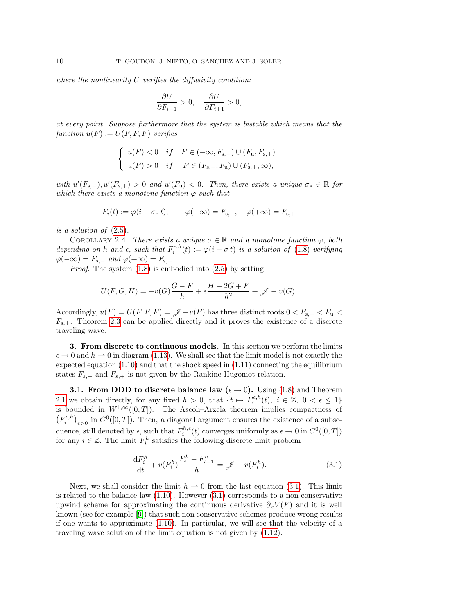where the nonlinearity  $U$  verifies the diffusivity condition:

$$
\frac{\partial U}{\partial F_{i-1}}>0,\quad \frac{\partial U}{\partial F_{i+1}}>0,
$$

at every point. Suppose furthermore that the system is bistable which means that the function  $u(F) := U(F, F, F)$  verifies

$$
\begin{cases} u(F) < 0 \quad if \quad F \in (-\infty, F_{s,-}) \cup (F_u, F_{s,+}) \\ u(F) > 0 \quad if \quad F \in (F_{s,-}, F_u) \cup (F_{s,+}, \infty), \end{cases}
$$

with  $u'(F_{s,-})$ ,  $u'(F_{s,+}) > 0$  and  $u'(F_u) < 0$ . Then, there exists a unique  $\sigma_* \in \mathbb{R}$  for which there exists a monotone function  $\varphi$  such that

$$
F_i(t) := \varphi(i - \sigma_* t), \qquad \varphi(-\infty) = F_{s,-}, \quad \varphi(+\infty) = F_{s,+}
$$

is a solution of [\(2.5\)](#page-8-1).

COROLLARY 2.4. There exists a unique  $\sigma \in \mathbb{R}$  and a monotone function  $\varphi$ , both depending on h and  $\epsilon$ , such that  $F_i^{\epsilon, h}(t) := \varphi(i - \sigma t)$  is a solution of [\(1.8\)](#page-3-1) verifying  $\varphi(-\infty) = F_{s,-}$  and  $\varphi(+\infty) = F_{s,+}$ 

*Proof.* The system  $(1.8)$  is embodied into  $(2.5)$  by setting

$$
U(F, G, H) = -v(G)\frac{G - F}{h} + \epsilon \frac{H - 2G + F}{h^2} + \mathscr{J} - v(G).
$$

Accordingly,  $u(F) = U(F, F, F) = \mathscr{J} - v(F)$  has three distinct roots  $0 < F_{s-} < F_u$  $F_{s,+}$ . Theorem [2.3](#page-8-0) can be applied directly and it proves the existence of a discrete traveling wave.  $\square$ 

<span id="page-9-0"></span>3. From discrete to continuous models. In this section we perform the limits  $\epsilon \to 0$  and  $h \to 0$  in diagram [\(1.13\)](#page-4-1). We shall see that the limit model is not exactly the expected equation  $(1.10)$  and that the shock speed in  $(1.11)$  connecting the equilibrium states  $F_{s,-}$  and  $F_{s,+}$  is not given by the Rankine-Hugoniot relation.

**3.1. From DDD to discrete balance law** ( $\epsilon \rightarrow 0$ ). Using [\(1.8\)](#page-3-1) and Theorem [2.1](#page-5-2) we obtain directly, for any fixed  $h > 0$ , that  $\{t \mapsto F_i^{\epsilon, h}(t), i \in \mathbb{Z}, 0 < \epsilon \leq 1\}$ is bounded in  $W^{1,\infty}([0,T])$ . The Ascoli–Arzela theorem implies compactness of  $(F_i^{\epsilon,h})_{\epsilon>0}$  in  $C^0([0,T])$ . Then, a diagonal argument ensures the existence of a subsequence, still denoted by  $\epsilon$ , such that  $F_i^{h,\epsilon}(t)$  converges uniformly as  $\epsilon \to 0$  in  $C^0([0,T])$ for any  $i \in \mathbb{Z}$ . The limit  $F_i^h$  satisfies the following discrete limit problem

<span id="page-9-1"></span>
$$
\frac{\mathrm{d}F_i^h}{\mathrm{d}t} + v(F_i^h) \frac{F_i^h - F_{i-1}^h}{h} = \mathscr{J} - v(F_i^h). \tag{3.1}
$$

Next, we shall consider the limit  $h \to 0$  from the last equation [\(3.1\)](#page-9-1). This limit is related to the balance law  $(1.10)$ . However  $(3.1)$  corresponds to a non conservative upwind scheme for approximating the continuous derivative  $\partial_x V(F)$  and it is well known (see for example [\[9\]](#page-19-6)) that such non conservative schemes produce wrong results if one wants to approximate [\(1.10\)](#page-3-0). In particular, we will see that the velocity of a traveling wave solution of the limit equation is not given by [\(1.12\)](#page-4-2).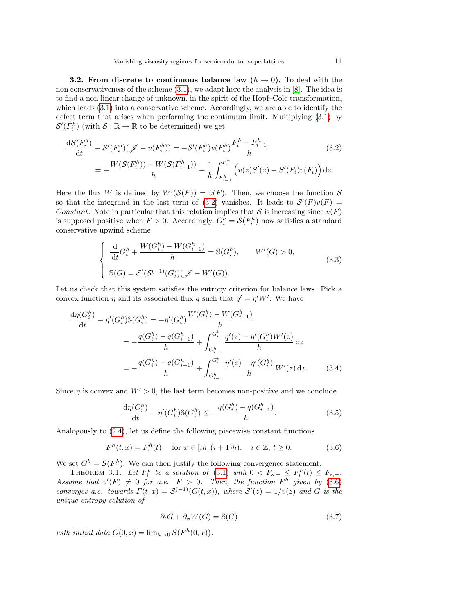**3.2.** From discrete to continuous balance law  $(h \rightarrow 0)$ . To deal with the non conservativeness of the scheme  $(3.1)$ , we adapt here the analysis in [\[8\]](#page-19-7). The idea is to find a non linear change of unknown, in the spirit of the Hopf–Cole transformation, which leads [\(3.1\)](#page-9-1) into a conservative scheme. Accordingly, we are able to identify the defect term that arises when performing the continuum limit. Multiplying [\(3.1\)](#page-9-1) by  $\mathcal{S}'(F_i^h)$  (with  $\mathcal{S}: \mathbb{R} \to \mathbb{R}$  to be determined) we get

<span id="page-10-0"></span>
$$
\frac{dS(F_i^h)}{dt} - S'(F_i^h)(\mathcal{J} - v(F_i^h)) = -S'(F_i^h)v(F_i^h)\frac{F_i^h - F_{i-1}^h}{h}
$$
\n
$$
= -\frac{W(S(F_i^h)) - W(S(F_{i-1}^h))}{h} + \frac{1}{h}\int_{F_{i-1}^h}^{F_i^h} \left(v(z)S'(z) - S'(F_i)v(F_i)\right)dz.
$$
\n(3.2)

Here the flux W is defined by  $W'(\mathcal{S}(F)) = v(F)$ . Then, we choose the function S so that the integrand in the last term of [\(3.2\)](#page-10-0) vanishes. It leads to  $S'(F)v(F) =$ Constant. Note in particular that this relation implies that S is increasing since  $v(F)$ is supposed positive when  $F > 0$ . Accordingly,  $G_i^h = \mathcal{S}(F_i^h)$  now satisfies a standard conservative upwind scheme

<span id="page-10-3"></span>
$$
\begin{cases}\n\frac{\mathrm{d}}{\mathrm{d}t}G_i^h + \frac{W(G_i^h) - W(G_{i-1}^h)}{h} = \mathbb{S}(G_i^h), & W'(G) > 0, \\
\mathbb{S}(G) = \mathcal{S}'(\mathcal{S}^{(-1)}(G))(\mathcal{J} - W'(G)).\n\end{cases}
$$
\n(3.3)

Let us check that this system satisfies the entropy criterion for balance laws. Pick a convex function  $\eta$  and its associated flux q such that  $q' = \eta' W'$ . We have

<span id="page-10-2"></span>
$$
\frac{d\eta(G_i^h)}{dt} - \eta'(G_i^h)\mathbb{S}(G_i^h) = -\eta'(G_i^h)\frac{W(G_i^h) - W(G_{i-1}^h)}{h}
$$
  
\n
$$
= -\frac{q(G_i^h) - q(G_{i-1}^h)}{h} + \int_{G_{i-1}^h}^{G_i^h} \frac{q'(z) - \eta'(G_i^h)W'(z)}{h} dz
$$
  
\n
$$
= -\frac{q(G_i^h) - q(G_{i-1}^h)}{h} + \int_{G_{i-1}^h}^{G_i^h} \frac{\eta'(z) - \eta'(G_i^h)}{h} W'(z) dz.
$$
 (3.4)

Since  $\eta$  is convex and  $W' > 0$ , the last term becomes non-positive and we conclude

<span id="page-10-4"></span>
$$
\frac{d\eta(G_i^h)}{dt} - \eta'(G_i^h) \mathbb{S}(G_i^h) \le -\frac{q(G_i^h) - q(G_{i-1}^h)}{h}.\tag{3.5}
$$

Analogously to [\(2.4\)](#page-8-2), let us define the following piecewise constant functions

$$
F^{h}(t,x) = F_{i}^{h}(t) \quad \text{ for } x \in [ih, (i+1)h), \quad i \in \mathbb{Z}, t \ge 0.
$$
 (3.6)

We set  $G^h = \mathcal{S}(F^h)$ . We can then justify the following convergence statement.

THEOREM 3.1. Let  $F_i^h$  be a solution of [\(3.1\)](#page-9-1) with  $0 < F_{s,-} \leq F_i^h(t) \leq F_{s,+}$ . Assume that  $v'(F) \neq 0$  for a.e.  $F > 0$ . Then, the function  $F^h$  given by [\(3.6\)](#page-10-1) converges a.e. towards  $F(t,x) = S^{(-1)}(G(t,x))$ , where  $S'(z) = 1/v(z)$  and G is the unique entropy solution of

<span id="page-10-5"></span><span id="page-10-1"></span>
$$
\partial_t G + \partial_x W(G) = \mathbb{S}(G) \tag{3.7}
$$

with initial data  $G(0, x) = \lim_{h \to 0} S(F^h(0, x)).$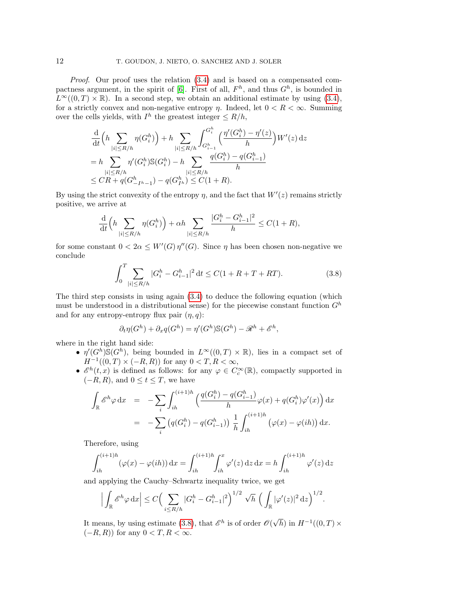Proof. Our proof uses the relation [\(3.4\)](#page-10-2) and is based on a compensated com-pactness argument, in the spirit of [\[6\]](#page-19-10). First of all,  $F<sup>h</sup>$ , and thus  $G<sup>h</sup>$ , is bounded in  $L^{\infty}((0,T) \times \mathbb{R})$ . In a second step, we obtain an additional estimate by using [\(3.4\)](#page-10-2), for a strictly convex and non-negative entropy  $\eta$ . Indeed, let  $0 < R < \infty$ . Summing over the cells yields, with  $I^h$  the greatest integer  $\leq R/h$ ,

$$
\frac{\mathrm{d}}{\mathrm{d}t} \left( h \sum_{|i| \le R/h} \eta(G_i^h) \right) + h \sum_{|i| \le R/h} \int_{G_{i-1}^h}^{G_i^h} \left( \frac{\eta'(G_i^h) - \eta'(z)}{h} \right) W'(z) \, \mathrm{d}z
$$
\n
$$
= h \sum_{|i| \le R/h} \eta'(G_i^h) \mathbb{S}(G_i^h) - h \sum_{|i| \le R/h} \frac{q(G_i^h) - q(G_{i-1}^h)}{h}
$$
\n
$$
\le CR + q(G_{-I^h-1}^h) - q(G_{I^h}^h) \le C(1+R).
$$

By using the strict convexity of the entropy  $\eta$ , and the fact that  $W'(z)$  remains strictly positive, we arrive at

$$
\frac{\mathrm{d}}{\mathrm{d}t}\Big(h\sum_{\vert i\vert\leq R/h}\eta(G_i^h)\Big)+\alpha h\sum_{\vert i\vert\leq R/h}\frac{|G_i^h-G_{i-1}^h|^2}{h}\leq C(1+R),
$$

for some constant  $0 < 2\alpha \leq W'(G) \eta''(G)$ . Since  $\eta$  has been chosen non-negative we conclude

<span id="page-11-0"></span>
$$
\int_{0}^{T} \sum_{|i| \le R/h} |G_i^h - G_{i-1}^h|^2 dt \le C(1 + R + T + RT). \tag{3.8}
$$

The third step consists in using again [\(3.4\)](#page-10-2) to deduce the following equation (which must be understood in a distributional sense) for the piecewise constant function  $G<sup>h</sup>$ and for any entropy-entropy flux pair  $(\eta, q)$ :

$$
\partial_t \eta(G^h) + \partial_x q(G^h) = \eta'(G^h) \mathbb{S}(G^h) - \mathcal{R}^h + \mathcal{E}^h,
$$

where in the right hand side:

- $\eta'(G^h)\mathbb{S}(G^h)$ , being bounded in  $L^{\infty}((0,T)\times\mathbb{R})$ , lies in a compact set of  $H^{-1}((0,T) \times (-R,R))$  for any  $0 < T, R < \infty$ ,
- $\mathscr{E}^h(t,x)$  is defined as follows: for any  $\varphi \in C_c^{\infty}(\mathbb{R})$ , compactly supported in  $(-R, R)$ , and  $0 \le t \le T$ , we have

$$
\int_{\mathbb{R}} \mathcal{E}^{h} \varphi \, dx = -\sum_{i} \int_{ih}^{(i+1)h} \left( \frac{q(G_{i}^{h}) - q(G_{i-1}^{h})}{h} \varphi(x) + q(G_{i}^{h}) \varphi'(x) \right) dx
$$
\n
$$
= -\sum_{i} \left( q(G_{i}^{h}) - q(G_{i-1}^{h}) \right) \frac{1}{h} \int_{ih}^{(i+1)h} \left( \varphi(x) - \varphi(ih) \right) dx.
$$

Therefore, using

$$
\int_{ih}^{(i+1)h} (\varphi(x) - \varphi(ih)) dx = \int_{ih}^{(i+1)h} \int_{ih}^{x} \varphi'(z) dz dx = h \int_{ih}^{(i+1)h} \varphi'(z) dz
$$

and applying the Cauchy–Schwartz inequality twice, we get

$$
\Big|\int_{\mathbb{R}}\mathscr{E}^{h}\varphi\,dx\Big|\leq C\Big(\sum_{i\leq R/h}|G_{i}^{h}-G_{i-1}^{h}|^{2}\Big)^{1/2}\sqrt{h}\,\Big(\int_{\mathbb{R}}|\varphi'(z)|^{2}\,dz\Big)^{1/2}.
$$

It means, by using estimate [\(3.8\)](#page-11-0), that  $\mathscr{E}^h$  is of order  $\mathscr{O}(\mathbb{C})$  $\sqrt{h}$ ) in  $H^{-1}((0,T) \times$  $(-R, R)$ ) for any  $0 < T, R < \infty$ .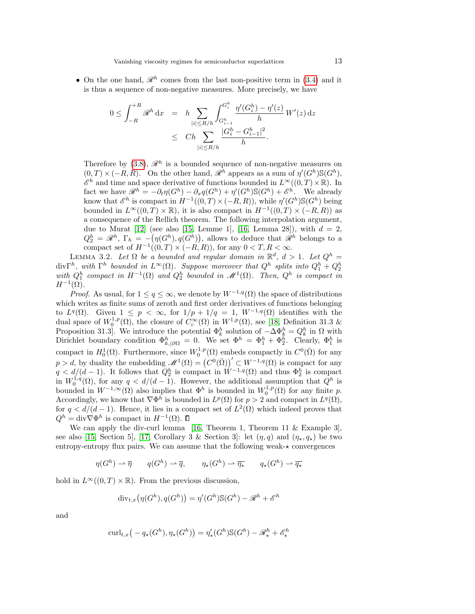• On the one hand,  $\mathcal{R}^h$  comes from the last non-positive term in [\(3.4\)](#page-10-2) and it is thus a sequence of non-negative measures. More precisely, we have

$$
0 \leq \int_{-R}^{+R} \mathcal{R}^h \, dx = h \sum_{|i| \leq R/h} \int_{G_{i-1}^h}^{G_i^h} \frac{\eta'(G_i^h) - \eta'(z)}{h} W'(z) \, dz
$$
  

$$
\leq Ch \sum_{|i| \leq R/h} \frac{|G_i^h - G_{i-1}^h|^2}{h}.
$$

Therefore by  $(3.8)$ ,  $\mathcal{R}^h$  is a bounded sequence of non-negative measures on  $(0,T) \times (-R,R)$ . On the other hand,  $\mathscr{R}^h$  appears as a sum of  $\eta'(G^h) \mathbb{S}(G^h)$ ,  $\mathscr{E}^h$  and time and space derivative of functions bounded in  $L^{\infty}((0,T)\times\mathbb{R})$ . In fact we have  $\mathcal{R}^h = -\partial_t \eta(G^h) - \partial_x q(G^h) + \eta'(G^h) \mathbb{S}(G^h) + \mathcal{E}^h$ . We already know that  $\mathscr{E}^h$  is compact in  $H^{-1}((0,T) \times (-R,R))$ , while  $\eta'(G^h) \mathbb{S}(G^h)$  being bounded in  $L^{\infty}((0,T) \times \mathbb{R})$ , it is also compact in  $H^{-1}((0,T) \times (-R,R))$  as a consequence of the Rellich theorem. The following interpolation argument, due to Murat [\[12\]](#page-19-11) (see also [\[15,](#page-20-1) Lemme 1], [\[16,](#page-20-2) Lemma 28]), with  $d = 2$ ,  $Q_2^h = \mathscr{R}^h$ ,  $\Gamma_h = -(\eta(G^h), q(G^h))$ , allows to deduce that  $\mathscr{R}^h$  belongs to a compact set of  $H^{-1}((0,T) \times (-R,R))$ , for any  $0 < T, R < \infty$ .

LEMMA 3.2. Let  $\Omega$  be a bounded and regular domain in  $\mathbb{R}^d$ ,  $d > 1$ . Let  $Q^h$ div $\Gamma^h$ , with  $\Gamma^h$  bounded in  $L^{\infty}(\Omega)$ . Suppose moreover that  $Q^h$  splits into  $Q_1^h + Q_2^h$  with  $Q_1^h$  compact in  $H^{-1}(\Omega)$  and  $Q_2^h$  bounded in  $\mathcal{M}^1(\Omega)$ . Then,  $Q^h$  is compact in  $H^{-1}(\Omega)$ .

*Proof.* As usual, for  $1 \leq q \leq \infty$ , we denote by  $W^{-1,q}(\Omega)$  the space of distributions which writes as finite sums of zeroth and first order derivatives of functions belonging to  $L^q(\Omega)$ . Given  $1 \leq p < \infty$ , for  $1/p + 1/q = 1$ ,  $W^{-1,q}(\Omega)$  identifies with the dual space of  $W_0^{1,p}(\Omega)$ , the closure of  $C_c^{\infty}(\Omega)$  in  $W^{1,p}(\Omega)$ , see [\[18,](#page-20-3) Definition 31.3 & Proposition 31.3. We introduce the potential  $\Phi_k^h$  solution of  $-\Delta \Phi_k^h = Q_k^h$  in  $\Omega$  with Dirichlet boundary condition  $\Phi_{k,|\partial\Omega}^h = 0$ . We set  $\Phi^h = \Phi_1^h + \Phi_2^h$ . Clearly,  $\Phi_1^h$  is compact in  $H_0^1(\Omega)$ . Furthermore, since  $W_0^{1,p}(\Omega)$  embeds compactly in  $C^0(\overline{\Omega})$  for any  $p > d$ , by duality the embedding  $\mathcal{M}^1(\Omega) = (C^0(\overline{\Omega}))' \subset W^{-1,q}(\Omega)$  is compact for any  $q < d/(d-1)$ . It follows that  $Q_2^h$  is compact in  $\dot{W}^{-1,q}(\Omega)$  and thus  $\Phi_2^h$  is compact in  $W_0^{1,q}(\Omega)$ , for any  $q < d/(d-1)$ . However, the additional assumption that  $Q^h$  is bounded in  $W^{-1,\infty}(\Omega)$  also implies that  $\Phi^h$  is bounded in  $W_0^{1,p}(\Omega)$  for any finite p. Accordingly, we know that  $\nabla \Phi^h$  is bounded in  $L^p(\Omega)$  for  $p > 2$  and compact in  $L^q(\Omega)$ , for  $q < d/(d-1)$ . Hence, it lies in a compact set of  $L^2(\Omega)$  which indeed proves that  $Q^h = \text{div}\nabla \Phi^h$  is compact in  $H^{-1}(\Omega)$ .

We can apply the div-curl lemma [\[16,](#page-20-2) Theorem 1, Theorem 11  $\&$  Example 3], see also [\[15,](#page-20-1) Section 5], [\[17,](#page-20-4) Corollary 3 & Section 3]: let  $(\eta, q)$  and  $(\eta_\star, q_\star)$  be two entropy-entropy flux pairs. We can assume that the following weak- $\star$  convergences

 $\eta(G^h) \rightharpoonup \overline{\eta} \qquad q(G^h) \rightharpoonup \overline{q}, \qquad \eta_\star(G^h) \rightharpoonup \overline{\eta_\star} \qquad q_\star(G^h) \rightharpoonup \overline{q_\star}$ 

hold in  $L^{\infty}((0,T) \times \mathbb{R})$ . From the previous discussion,

$$
\operatorname{div}_{t,x} \bigl( \eta(G^h), q(G^h) \bigr) = \eta'(G^h) \mathbb{S}(G^h) - \mathcal{R}^h + \mathcal{E}^h
$$

and

$$
\operatorname{curl}_{t,x} \big(-q_\star(G^h), \eta_\star(G^h)\big) = \eta_\star'(G^h) \mathbb{S}(G^h) - \mathscr{R}_\star^h + \mathscr{E}_\star^h
$$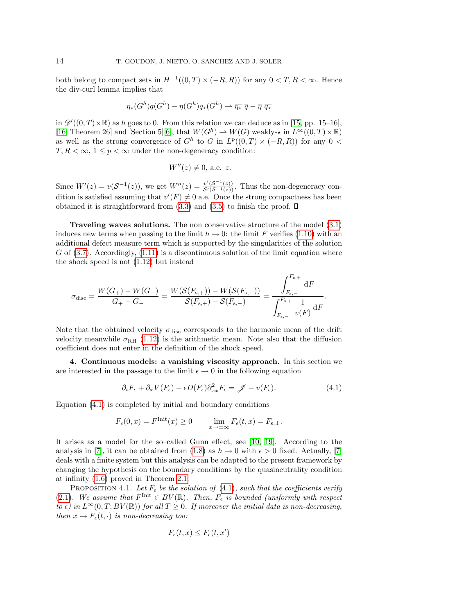both belong to compact sets in  $H^{-1}((0,T) \times (-R,R))$  for any  $0 < T, R < \infty$ . Hence the div-curl lemma implies that

$$
\eta_{\star}(G^h)q(G^h) - \eta(G^h)q_{\star}(G^h) \rightharpoonup \overline{\eta_{\star}} \ \overline{q} - \overline{\eta} \ \overline{q_{\star}}
$$

in  $\mathscr{D}'((0,T)\times\mathbb{R})$  as h goes to 0. From this relation we can deduce as in [\[15,](#page-20-1) pp. 15–16], [\[16,](#page-20-2) Theorem 26] and [Section 5][\[6\]](#page-19-10), that  $W(G^h) \to W(G)$  weakly- $\star$  in  $L^{\infty}((0,T) \times \mathbb{R})$ as well as the strong convergence of  $G^h$  to G in  $L^p((0,T) \times (-R,R))$  for any  $0 <$  $T, R < \infty$ ,  $1 \leq p < \infty$  under the non-degeneracy condition:

$$
W''(z) \neq 0
$$
, a.e. z.

Since  $W'(z) = v(\mathcal{S}^{-1}(z))$ , we get  $W''(z) = \frac{v'(\mathcal{S}^{-1}(z))}{\mathcal{S}'(\mathcal{S}^{-1}(z))}$ . Thus the non-degeneracy condition is satisfied assuming that  $v'(F) \neq 0$  a.e. Once the strong compactness has been obtained it is straightforward from  $(3.3)$  and  $(3.5)$  to finish the proof.  $\Box$ 

Traveling waves solutions. The non conservative structure of the model [\(3.1\)](#page-9-1) induces new terms when passing to the limit  $h \to 0$ : the limit F verifies [\(1.10\)](#page-3-0) with an additional defect measure term which is supported by the singularities of the solution G of  $(3.7)$ . Accordingly,  $(1.11)$  is a discontinuous solution of the limit equation where the shock speed is not [\(1.12\)](#page-4-2) but instead

$$
\sigma_{\text{disc}} = \frac{W(G_{+})-W(G_{-})}{G_{+}-G_{-}} = \frac{W(\mathcal{S}(F_{\text{s},+})) - W(\mathcal{S}(F_{\text{s},-}))}{\mathcal{S}(F_{\text{s},+}) - \mathcal{S}(F_{\text{s},-})} = \frac{\displaystyle\int_{F_{\text{s},-}}^{F_{\text{s},+}} \mathrm{d}F}{\displaystyle\int_{F_{\text{s},-}}^{F_{\text{s},+}} \frac{1}{v(F)} \, \mathrm{d}F}
$$

Note that the obtained velocity  $\sigma_{\text{disc}}$  corresponds to the harmonic mean of the drift velocity meanwhile  $\sigma_{\rm RH}$  [\(1.12\)](#page-4-2) is the arithmetic mean. Note also that the diffusion coefficient does not enter in the definition of the shock speed.

<span id="page-13-0"></span>4. Continuous models: a vanishing viscosity approach. In this section we are interested in the passage to the limit  $\epsilon \to 0$  in the following equation

$$
\partial_t F_{\epsilon} + \partial_x V(F_{\epsilon}) - \epsilon D(F_{\epsilon}) \partial_{xx}^2 F_{\epsilon} = \mathscr{J} - v(F_{\epsilon}). \tag{4.1}
$$

<span id="page-13-1"></span>.

Equation [\(4.1\)](#page-13-1) is completed by initial and boundary conditions

$$
F_{\epsilon}(0,x) = F^{\text{Init}}(x) \ge 0 \qquad \lim_{x \to \pm \infty} F_{\epsilon}(t,x) = F_{s,\pm}.
$$

It arises as a model for the so–called Gunn effect, see [\[10,](#page-19-12) [19\]](#page-20-0). According to the analysis in [\[7\]](#page-19-2), it can be obtained from [\(1.8\)](#page-3-1) as  $h \to 0$  with  $\epsilon > 0$  fixed. Actually, [7] deals with a finite system but this analysis can be adapted to the present framework by changing the hypothesis on the boundary conditions by the quasineutrality condition at infinity [\(1.6\)](#page-2-2) proved in Theorem [2.1.](#page-5-2)

<span id="page-13-2"></span>PROPOSITION 4.1. Let  $F_{\epsilon}$  be the solution of [\(4.1\)](#page-13-1), such that the coefficients verify [\(2.1\)](#page-5-1). We assume that  $F^{\text{Init}} \in BV(\mathbb{R})$ . Then,  $F_{\epsilon}$  is bounded (uniformly with respect to  $\epsilon$ ) in  $L^{\infty}(0,T;BV(\mathbb{R}))$  for all  $T \geq 0$ . If moreover the initial data is non-decreasing, then  $x \mapsto F_{\epsilon}(t, \cdot)$  is non-decreasing too:

$$
F_{\epsilon}(t,x) \leq F_{\epsilon}(t,x')
$$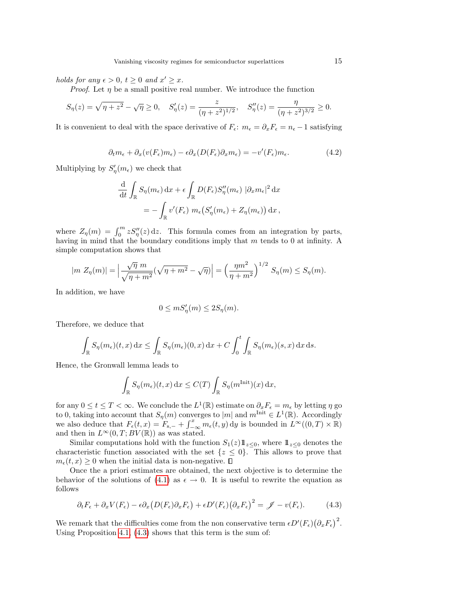holds for any  $\epsilon > 0$ ,  $t \geq 0$  and  $x' \geq x$ .

*Proof.* Let  $\eta$  be a small positive real number. We introduce the function

$$
S_{\eta}(z) = \sqrt{\eta + z^2} - \sqrt{\eta} \ge 0, \quad S_{\eta}'(z) = \frac{z}{(\eta + z^2)^{1/2}}, \quad S_{\eta}''(z) = \frac{\eta}{(\eta + z^2)^{3/2}} \ge 0.
$$

It is convenient to deal with the space derivative of  $F_{\epsilon}$ :  $m_{\epsilon} = \partial_x F_{\epsilon} = n_{\epsilon} - 1$  satisfying

$$
\partial_t m_{\epsilon} + \partial_x (v(F_{\epsilon}) m_{\epsilon}) - \epsilon \partial_x (D(F_{\epsilon}) \partial_x m_{\epsilon}) = -v'(F_{\epsilon}) m_{\epsilon}.
$$
\n(4.2)

Multiplying by  $S'_{\eta}(m_{\epsilon})$  we check that

$$
\frac{\mathrm{d}}{\mathrm{d}t} \int_{\mathbb{R}} S_{\eta}(m_{\epsilon}) \, \mathrm{d}x + \epsilon \int_{\mathbb{R}} D(F_{\epsilon}) S_{\eta}''(m_{\epsilon}) \, |\partial_x m_{\epsilon}|^2 \, \mathrm{d}x
$$
\n
$$
= - \int_{\mathbb{R}} v'(F_{\epsilon}) \, m_{\epsilon} \big( S_{\eta}'(m_{\epsilon}) + Z_{\eta}(m_{\epsilon}) \big) \, \mathrm{d}x \,,
$$

where  $Z_{\eta}(m) = \int_0^m z S_{\eta}''(z) dz$ . This formula comes from an integration by parts, having in mind that the boundary conditions imply that  $m$  tends to 0 at infinity. A simple computation shows that

$$
|m Z_{\eta}(m)| = \left| \frac{\sqrt{\eta} m}{\sqrt{\eta + m^2}} (\sqrt{\eta + m^2} - \sqrt{\eta}) \right| = \left( \frac{\eta m^2}{\eta + m^2} \right)^{1/2} S_{\eta}(m) \le S_{\eta}(m).
$$

In addition, we have

$$
0 \leq mS'_{\eta}(m) \leq 2S_{\eta}(m).
$$

Therefore, we deduce that

$$
\int_{\mathbb{R}} S_{\eta}(m_{\epsilon})(t,x) dx \leq \int_{\mathbb{R}} S_{\eta}(m_{\epsilon})(0,x) dx + C \int_0^t \int_{\mathbb{R}} S_{\eta}(m_{\epsilon})(s,x) dx ds.
$$

Hence, the Gronwall lemma leads to

$$
\int_{\mathbb{R}} S_{\eta}(m_{\epsilon})(t,x) dx \leq C(T) \int_{\mathbb{R}} S_{\eta}(m^{\text{Init}})(x) dx,
$$

for any  $0 \le t \le T < \infty$ . We conclude the  $L^1(\mathbb{R})$  estimate on  $\partial_x F_{\epsilon} = m_{\epsilon}$  by letting  $\eta$  go to 0, taking into account that  $S_n(m)$  converges to |m| and  $m^{\text{Init}} \in L^1(\mathbb{R})$ . Accordingly we also deduce that  $F_{\epsilon}(t, x) = F_{s,-} + \int_{-\infty}^{x} m_{\epsilon}(t, y) dy$  is bounded in  $L^{\infty}((0, T) \times \mathbb{R})$ and then in  $L^{\infty}(0,T;BV(\mathbb{R}))$  as was stated.

Similar computations hold with the function  $S_1(z)1\!\!1_{z\leq 0}$ , where  $1\!\!1_{z\leq 0}$  denotes the characteristic function associated with the set  $\{z \leq 0\}$ . This allows to prove that  $m_{\epsilon}(t, x) \geq 0$  when the initial data is non-negative.  $\Box$ 

Once the a priori estimates are obtained, the next objective is to determine the behavior of the solutions of [\(4.1\)](#page-13-1) as  $\epsilon \to 0$ . It is useful to rewrite the equation as follows

<span id="page-14-0"></span>
$$
\partial_t F_{\epsilon} + \partial_x V(F_{\epsilon}) - \epsilon \partial_x \left( D(F_{\epsilon}) \partial_x F_{\epsilon} \right) + \epsilon D'(F_{\epsilon}) \left( \partial_x F_{\epsilon} \right)^2 = \mathscr{J} - v(F_{\epsilon}). \tag{4.3}
$$

We remark that the difficulties come from the non conservative term  $\epsilon D'(F_{\epsilon}) (\partial_x F_{\epsilon})^2$ . Using Proposition [4.1,](#page-13-2) [\(4.3\)](#page-14-0) shows that this term is the sum of: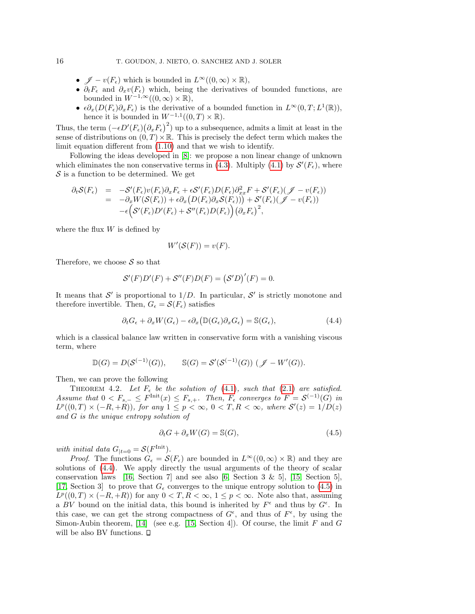- $\mathscr{J} v(F_{\epsilon})$  which is bounded in  $L^{\infty}((0,\infty) \times \mathbb{R}),$
- $\partial_t F_{\epsilon}$  and  $\partial_x v(F_{\epsilon})$  which, being the derivatives of bounded functions, are bounded in  $W^{-1,\infty}((0,\infty)\times\mathbb{R}),$
- $\epsilon \partial_x (D(F_{\epsilon}) \partial_x F_{\epsilon})$  is the derivative of a bounded function in  $L^{\infty}(0,T; L^1(\mathbb{R}))$ , hence it is bounded in  $W^{-1,1}((0,T)\times\mathbb{R})$ .

Thus, the term  $(-\epsilon D'(F_{\epsilon})(\partial_x F_{\epsilon})^2)$  up to a subsequence, admits a limit at least in the sense of distributions on  $(0, T) \times \mathbb{R}$ . This is precisely the defect term which makes the limit equation different from [\(1.10\)](#page-3-0) and that we wish to identify.

Following the ideas developed in [\[8\]](#page-19-7): we propose a non linear change of unknown which eliminates the non conservative terms in [\(4.3\)](#page-14-0). Multiply [\(4.1\)](#page-13-1) by  $\mathcal{S}'(F_{\epsilon})$ , where  $S$  is a function to be determined. We get

$$
\partial_t S(F_{\epsilon}) = -S'(F_{\epsilon})v(F_{\epsilon})\partial_x F_{\epsilon} + \epsilon S'(F_{\epsilon})D(F_{\epsilon})\partial_{xx}^2 F + S'(F_{\epsilon}) (\mathcal{J} - v(F_{\epsilon}))
$$
  
\n
$$
= -\partial_x W(S(F_{\epsilon})) + \epsilon \partial_x (D(F_{\epsilon})\partial_x S(F_{\epsilon}))) + S'(F_{\epsilon}) (\mathcal{J} - v(F_{\epsilon}))
$$
  
\n
$$
- \epsilon (S'(F_{\epsilon})D'(F_{\epsilon}) + S''(F_{\epsilon})D(F_{\epsilon})) (\partial_x F_{\epsilon})^2,
$$

where the flux  $\boldsymbol{W}$  is defined by

<span id="page-15-0"></span>
$$
W'(\mathcal{S}(F)) = v(F).
$$

Therefore, we choose  $S$  so that

$$
\mathcal{S}'(F)D'(F) + \mathcal{S}''(F)D(F) = (\mathcal{S}'D)'(F) = 0.
$$

It means that S' is proportional to  $1/D$ . In particular, S' is strictly monotone and therefore invertible. Then,  $G_{\epsilon} = \mathcal{S}(F_{\epsilon})$  satisfies

$$
\partial_t G_{\epsilon} + \partial_x W(G_{\epsilon}) - \epsilon \partial_x (\mathbb{D}(G_{\epsilon}) \partial_x G_{\epsilon}) = \mathbb{S}(G_{\epsilon}),\tag{4.4}
$$

which is a classical balance law written in conservative form with a vanishing viscous term, where

$$
\mathbb{D}(G) = D(\mathcal{S}^{(-1)}(G)), \qquad \mathbb{S}(G) = \mathcal{S}'(\mathcal{S}^{(-1)}(G)) \ (\mathscr{J} - W'(G)).
$$

Then, we can prove the following

<span id="page-15-2"></span>THEOREM 4.2. Let  $F_{\epsilon}$  be the solution of [\(4.1\)](#page-13-1), such that [\(2.1\)](#page-5-1) are satisfied. Assume that  $0 < F_{s,-} \leq F^{\text{Init}}(x) \leq F_{s,+}.$  Then,  $F_{\epsilon}$  converges to  $F = \mathcal{S}^{(-1)}(G)$  in  $L^p((0,T) \times (-R,+R))$ , for any  $1 \leq p < \infty$ ,  $0 < T, R < \infty$ , where  $S'(z) = 1/D(z)$ and G is the unique entropy solution of

<span id="page-15-1"></span>
$$
\partial_t G + \partial_x W(G) = \mathbb{S}(G),\tag{4.5}
$$

with initial data  $G_{|t=0} = \mathcal{S}(F^{\text{Init}})$ .

*Proof.* The functions  $G_{\epsilon} = \mathcal{S}(F_{\epsilon})$  are bounded in  $L^{\infty}((0,\infty) \times \mathbb{R})$  and they are solutions of [\(4.4\)](#page-15-0). We apply directly the usual arguments of the theory of scalar conservation laws [\[16,](#page-20-2) Section 7] and see also  $[6, \text{ Section 3 } \& 5]$ , [\[15,](#page-20-1) Section 5], [\[17,](#page-20-4) Section 3] to prove that  $G_{\epsilon}$  converges to the unique entropy solution to [\(4.5\)](#page-15-1) in  $L^p((0,T) \times (-R,+R))$  for any  $0 < T, R < \infty$ ,  $1 \leq p < \infty$ . Note also that, assuming a BV bound on the initial data, this bound is inherited by  $F^{\epsilon}$  and thus by  $G^{\epsilon}$ . In this case, we can get the strong compactness of  $G^{\epsilon}$ , and thus of  $F^{\epsilon}$ , by using the Simon-Aubin theorem, [\[14\]](#page-20-5) (see e.g. [\[15,](#page-20-1) Section 4]). Of course, the limit  $F$  and  $G$ will be also BV functions.  $\square$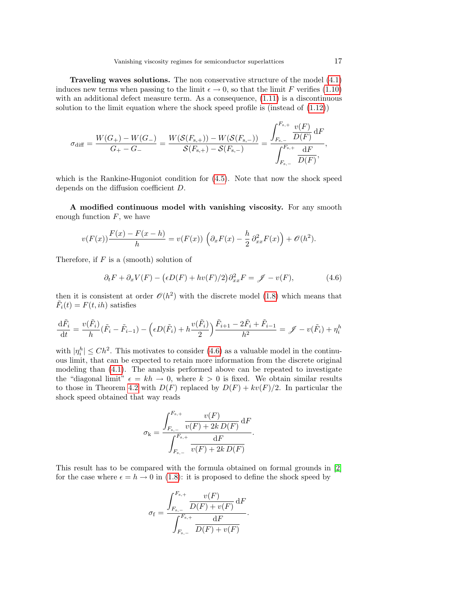Traveling waves solutions. The non conservative structure of the model [\(4.1\)](#page-13-1) induces new terms when passing to the limit  $\epsilon \to 0$ , so that the limit F verifies [\(1.10\)](#page-3-0) with an additional defect measure term. As a consequence,  $(1.11)$  is a discontinuous solution to the limit equation where the shock speed profile is (instead of [\(1.12\)](#page-4-2))

$$
\sigma_{\text{diff}} = \frac{W(G_{+}) - W(G_{-})}{G_{+} - G_{-}} = \frac{W(\mathcal{S}(F_{\text{s},+})) - W(\mathcal{S}(F_{\text{s},-}))}{\mathcal{S}(F_{\text{s},+}) - \mathcal{S}(F_{\text{s},-})} = \frac{\displaystyle\int_{F_{\text{s},-}}^{F_{\text{s},+}} \frac{v(F)}{D(F)} \, \text{d}F}{\displaystyle\int_{F_{\text{s},-}}^{F_{\text{s},+}} \frac{\text{d}F}{D(F)}},
$$

which is the Rankine-Hugoniot condition for  $(4.5)$ . Note that now the shock speed depends on the diffusion coefficient D.

A modified continuous model with vanishing viscosity. For any smooth enough function  $F$ , we have

$$
v(F(x))\frac{F(x) - F(x - h)}{h} = v(F(x))\left(\partial_x F(x) - \frac{h}{2}\partial_{xx}^2 F(x)\right) + \mathcal{O}(h^2).
$$

Therefore, if  $F$  is a (smooth) solution of

<span id="page-16-0"></span>
$$
\partial_t F + \partial_x V(F) - (\epsilon D(F) + hv(F)/2) \partial_{xx}^2 F = \mathscr{J} - v(F), \tag{4.6}
$$

then it is consistent at order  $\mathcal{O}(h^2)$  with the discrete model [\(1.8\)](#page-3-1) which means that  $\tilde{F}_i(t) = F(t, ih)$  satisfies

$$
\frac{\mathrm{d}\tilde{F}_i}{\mathrm{d}t} = \frac{v(\tilde{F}_i)}{h}(\tilde{F}_i - \tilde{F}_{i-1}) - \left(\epsilon D(\tilde{F}_i) + h\frac{v(\tilde{F}_i)}{2}\right)\frac{\tilde{F}_{i+1} - 2\tilde{F}_i + \tilde{F}_{i-1}}{h^2} = \mathscr{J} - v(\tilde{F}_i) + \eta_i^h
$$

with  $|\eta_i^h| \leq Ch^2$ . This motivates to consider [\(4.6\)](#page-16-0) as a valuable model in the continuous limit, that can be expected to retain more information from the discrete original modeling than [\(4.1\)](#page-13-1). The analysis performed above can be repeated to investigate the "diagonal limit"  $\epsilon = kh \to 0$ , where  $k > 0$  is fixed. We obtain similar results to those in Theorem [4.2](#page-15-2) with  $D(F)$  replaced by  $D(F) + kv(F)/2$ . In particular the shock speed obtained that way reads

$$
\sigma_{\mathbf{k}} = \frac{\displaystyle \int_{F_{\mathbf{s},-}}^{F_{\mathbf{s},+}} \frac{v(F)}{v(F) + 2k D(F)} \, \mathrm{d}F}{\displaystyle \int_{F_{\mathbf{s},-}}^{F_{\mathbf{s},+}} \frac{\mathrm{d}F}{v(F) + 2k D(F)}}.
$$

This result has to be compared with the formula obtained on formal grounds in [\[2\]](#page-19-1) for the case where  $\epsilon = h \rightarrow 0$  in [\(1.8\)](#page-3-1): it is proposed to define the shock speed by

$$
\sigma_{\rm f} = \frac{\int_{F_{\rm s,-}}^{F_{\rm s,+}} \frac{v(F)}{D(F) + v(F)} \, \mathrm{d}F}{\int_{F_{\rm s,-}}^{F_{\rm s,+}} \frac{\mathrm{d}F}{D(F) + v(F)}}.
$$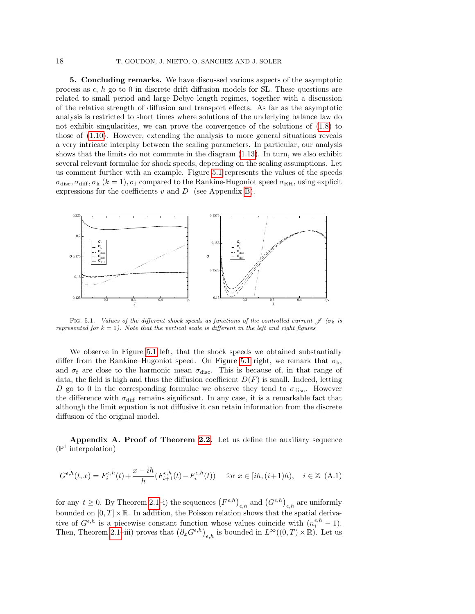<span id="page-17-0"></span>5. Concluding remarks. We have discussed various aspects of the asymptotic process as  $\epsilon$ , h go to 0 in discrete drift diffusion models for SL. These questions are related to small period and large Debye length regimes, together with a discussion of the relative strength of diffusion and transport effects. As far as the asymptotic analysis is restricted to short times where solutions of the underlying balance law do not exhibit singularities, we can prove the convergence of the solutions of [\(1.8\)](#page-3-1) to those of [\(1.10\)](#page-3-0). However, extending the analysis to more general situations reveals a very intricate interplay between the scaling parameters. In particular, our analysis shows that the limits do not commute in the diagram [\(1.13\)](#page-4-1). In turn, we also exhibit several relevant formulae for shock speeds, depending on the scaling assumptions. Let us comment further with an example. Figure [5.1](#page-2-0) represents the values of the speeds  $\sigma_{\text{disc}}, \sigma_{\text{diff}}, \sigma_{\text{k}} \ (k=1), \sigma_{\text{f}} \ \text{compared to the Rankine-Hugoniot speed } \sigma_{\text{RH}}$ , using explicit expressions for the coefficients  $v$  and  $D$  (see Appendix [B\)](#page-19-3).



FIG. 5.1. Values of the different shock speeds as functions of the controlled current  $\oint$  ( $\sigma_k$  is represented for  $k = 1$ ). Note that the vertical scale is different in the left and right figures

We observe in Figure [5.1](#page-2-0) left, that the shock speeds we obtained substantially differ from the Rankine–Hugoniot speed. On Figure [5.1](#page-2-0) right, we remark that  $\sigma_k$ , and  $\sigma_f$  are close to the harmonic mean  $\sigma_{disc}$ . This is because of, in that range of data, the field is high and thus the diffusion coefficient  $D(F)$  is small. Indeed, letting D go to 0 in the corresponding formulae we observe they tend to  $\sigma_{\text{disc}}$ . However the difference with  $\sigma_{\text{diff}}$  remains significant. In any case, it is a remarkable fact that although the limit equation is not diffusive it can retain information from the discrete diffusion of the original model.

<span id="page-17-1"></span>Appendix A. Proof of Theorem [2.2.](#page-8-3) Let us define the auxiliary sequence ( $\mathbb{P}^1$  interpolation)

$$
G^{\epsilon,h}(t,x) = F_i^{\epsilon,h}(t) + \frac{x - ih}{h}(F_{i+1}^{\epsilon,h}(t) - F_i^{\epsilon,h}(t)) \quad \text{ for } x \in [ih, (i+1)h), \quad i \in \mathbb{Z} \tag{A.1}
$$

for any  $t \geq 0$ . By Theorem [2.1–](#page-5-2)i) the sequences  $(F^{\epsilon,h})_{\epsilon,h}$  and  $(G^{\epsilon,h})_{\epsilon,h}$  are uniformly bounded on  $[0, T] \times \mathbb{R}$ . In addition, the Poisson relation shows that the spatial derivative of  $G^{\epsilon,h}$  is a piecewise constant function whose values coincide with  $(n_i^{\epsilon,h} - 1)$ . Then, Theorem [2.1–](#page-5-2)iii) proves that  $(\partial_x G^{\epsilon,h})_{\epsilon,h}$  is bounded in  $L^{\infty}((0,T)\times\mathbb{R})$ . Let us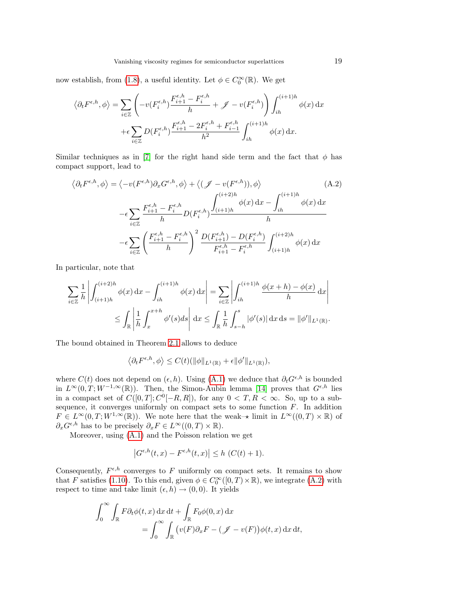now establish, from [\(1.8\)](#page-3-1), a useful identity. Let  $\phi \in C_0^{\infty}(\mathbb{R})$ . We get

$$
\langle \partial_t F^{\epsilon, h}, \phi \rangle = \sum_{i \in \mathbb{Z}} \left( -v(F_i^{\epsilon, h}) \frac{F_{i+1}^{\epsilon, h} - F_i^{\epsilon, h}}{h} + \mathscr{J} - v(F_i^{\epsilon, h}) \right) \int_{ih}^{(i+1)h} \phi(x) dx
$$

$$
+ \epsilon \sum_{i \in \mathbb{Z}} D(F_i^{\epsilon, h}) \frac{F_{i+1}^{\epsilon, h} - 2F_i^{\epsilon, h} + F_{i-1}^{\epsilon, h}}{h^2} \int_{ih}^{(i+1)h} \phi(x) dx.
$$

Similar techniques as in [\[7\]](#page-19-2) for the right hand side term and the fact that  $\phi$  has compact support, lead to

<span id="page-18-0"></span>
$$
\langle \partial_t F^{\epsilon, h}, \phi \rangle = \langle -v(F^{\epsilon, h}) \partial_x G^{\epsilon, h}, \phi \rangle + \langle (\mathcal{J} - v(F^{\epsilon, h})), \phi \rangle \tag{A.2}
$$

$$
- \epsilon \sum_{i \in \mathbb{Z}} \frac{F^{\epsilon, h}_{i+1} - F^{\epsilon, h}_{i}}{h} D(F^{\epsilon, h}_{i}) \frac{\int_{(i+1)h}^{(i+2)h} \phi(x) dx - \int_{ih}^{(i+1)h} \phi(x) dx}{h}
$$

$$
- \epsilon \sum_{i \in \mathbb{Z}} \left( \frac{F^{\epsilon, h}_{i+1} - F^{\epsilon, h}_{i}}{h} \right)^2 \frac{D(F^{\epsilon, h}_{i+1}) - D(F^{\epsilon, h}_{i})}{F^{\epsilon, h}_{i+1} - F^{\epsilon, h}_{i}} \int_{(i+1)h}^{(i+2)h} \phi(x) dx
$$

In particular, note that

$$
\sum_{i \in \mathbb{Z}} \frac{1}{h} \left| \int_{(i+1)h}^{(i+2)h} \phi(x) dx - \int_{ih}^{(i+1)h} \phi(x) dx \right| = \sum_{i \in \mathbb{Z}} \left| \int_{ih}^{(i+1)h} \frac{\phi(x+h) - \phi(x)}{h} dx \right|
$$
  

$$
\leq \int_{\mathbb{R}} \left| \frac{1}{h} \int_{x}^{x+h} \phi'(s) ds \right| dx \leq \int_{\mathbb{R}} \frac{1}{h} \int_{s-h}^{s} |\phi'(s)| dx ds = ||\phi'||_{L^{1}(\mathbb{R})}.
$$

The bound obtained in Theorem [2.1](#page-5-2) allows to deduce

$$
\left\langle \partial_t F^{\epsilon,h}, \phi \right\rangle \leq C(t) \left( \|\phi\|_{L^1(\mathbb{R})} + \epsilon \|\phi'\|_{L^1(\mathbb{R})} \right),
$$

where  $C(t)$  does not depend on  $(\epsilon, h)$ . Using  $(A.1)$  we deduce that  $\partial_t G^{\epsilon, h}$  is bounded in  $L^{\infty}(0,T;W^{-1,\infty}(\mathbb{R}))$ . Then, the Simon-Aubin lemma [\[14\]](#page-20-5) proves that  $G^{\epsilon,h}$  lies in a compact set of  $C([0,T]; C^0[-R, R])$ , for any  $0 < T, R < \infty$ . So, up to a subsequence, it converges uniformly on compact sets to some function  $F$ . In addition  $F \in L^{\infty}(0,T;W^{1,\infty}(\mathbb{R}))$ . We note here that the weak– $\star$  limit in  $L^{\infty}((0,T) \times \mathbb{R})$  of  $\partial_x G^{\epsilon,h}$  has to be precisely  $\partial_x F \in L^{\infty}((0,T) \times \mathbb{R})$ .

Moreover, using [\(A.1\)](#page-17-1) and the Poisson relation we get

$$
\left|G^{\epsilon,h}(t,x) - F^{\epsilon,h}(t,x)\right| \le h \ (C(t) + 1).
$$

Consequently,  $F^{\epsilon,h}$  converges to F uniformly on compact sets. It remains to show that F satisfies [\(1.10\)](#page-3-0). To this end, given  $\phi \in C_0^{\infty}([0, T) \times \mathbb{R})$ , we integrate [\(A.2\)](#page-18-0) with respect to time and take limit  $(\epsilon, h) \rightarrow (0, 0)$ . It yields

$$
\int_0^\infty \int_{\mathbb{R}} F \partial_t \phi(t, x) \, dx \, dt + \int_{\mathbb{R}} F_0 \phi(0, x) \, dx
$$
  
= 
$$
\int_0^\infty \int_{\mathbb{R}} \left( v(F) \partial_x F - (\mathcal{J} - v(F)) \phi(t, x) \, dx \, dt, \right)
$$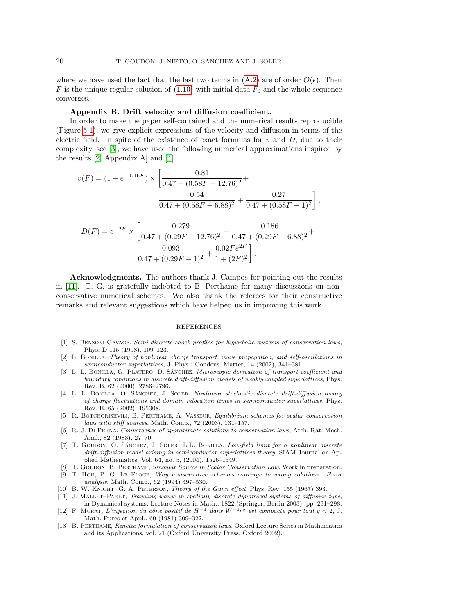where we have used the fact that the last two terms in [\(A.2\)](#page-18-0) are of order  $\mathcal{O}(\epsilon)$ . Then F is the unique regular solution of  $(1.10)$  with initial data  $F_0$  and the whole sequence converges.

## <span id="page-19-3"></span>Appendix B. Drift velocity and diffusion coefficient.

In order to make the paper self-contained and the numerical results reproducible (Figure [5.1\)](#page-2-0), we give explicit expressions of the velocity and diffusion in terms of the electric field. In spite of the existence of exact formulas for  $v$  and  $D$ , due to their complexity, see [\[3\]](#page-19-0), we have used the following numerical approximations inspired by the results [\[2,](#page-19-1) Appendix A] and [\[4\]](#page-19-13)

$$
v(F) = (1 - e^{-1.16F}) \times \left[ \frac{0.81}{0.47 + (0.58F - 12.76)^2} + \frac{0.54}{0.47 + (0.58F - 6.88)^2} + \frac{0.27}{0.47 + (0.58F - 1)^2} \right],
$$
  

$$
D(F) = e^{-2F} \times \left[ \frac{0.279}{0.47 + (0.58F - 6.88)^2} + \frac{0.186}{0.47 + (0.58F - 1)^2} \right],
$$

$$
D(F) = e^{-2F} \times \left[ \frac{0.279}{0.47 + (0.29F - 12.76)^2} + \frac{0.180}{0.47 + (0.29F - 6.88)^2} + \frac{0.093}{0.47 + (0.29F - 1)^2} + \frac{0.02Fe^{2F}}{1 + (2F)^2} \right].
$$

Acknowledgments. The authors thank J. Campos for pointing out the results in [\[11\]](#page-19-5). T. G. is gratefully indebted to B. Perthame for many discussions on nonconservative numerical schemes. We also thank the referees for their constructive remarks and relevant suggestions which have helped us in improving this work.

## **REFERENCES**

- <span id="page-19-4"></span>[1] S. Benzoni-Gavage, Semi-discrete shock profiles for hyperbolic systems of conservation laws, Phys. D 115 (1998), 109–123.
- <span id="page-19-1"></span>[2] L. Bonilla, Theory of nonlinear charge transport, wave propagation, and self-oscillations in semiconductor superlattices, J. Phys.: Condens. Matter, 14 (2002), 341–381.
- <span id="page-19-0"></span>[3] L. L. BONILLA, G. PLATERO, D. SÁNCHEZ. *Microscopic derivation of transport coefficient and* boundary conditions in discrete drift-diffusion models of weakly coupled superlattices, Phys. Rev. B, 62 (2000), 2786–2796.
- <span id="page-19-13"></span>[4] L. L. BONILLA, O. SÁNCHEZ, J. SOLER. Nonlinear stochastic discrete drift-diffusion theory of charge fluctuations and domain relocation times in semiconductor superlattices, Phys. Rev. B, 65 (2002), 195308.
- <span id="page-19-9"></span>[5] R. Botchorishvili, B. Perthame, A. Vasseur, Equilibrium schemes for scalar conservation laws with stiff sources, Math. Comp., 72 (2003), 131–157.
- <span id="page-19-10"></span>[6] R. J. Di Perna, Convergence of approximate solutions to conservation laws, Arch. Rat. Mech. Anal., 82 (1983), 27–70.
- <span id="page-19-2"></span>[7] T. GOUDON, O. SÁNCHEZ, J. SOLER, L.L. BONILLA, Low-field limit for a nonlinear discrete drift-diffusion model arising in semiconductor superlattices theory, SIAM Journal on Applied Mathematics, Vol. 64, no. 5, (2004), 1526–1549.
- <span id="page-19-7"></span>[8] T. GOUDON, B. PERTHAME, Singular Source in Scalar Conservation Law, Work in preparation.
- <span id="page-19-6"></span>[9] T. Hou, P. G. Le Floch, Why nonservative schemes converge to wrong solutions: Error analysis. Math. Comp., 62 (1994) 497–530.
- <span id="page-19-12"></span>[10] B. W. KNIGHT, G. A. PETERSON, Theory of the Gunn effect, Phys. Rev. 155 (1967) 393.
- <span id="page-19-5"></span>[11] J. Mallet–Paret, Traveling waves in spatially discrete dynamical systems of diffusive type, in Dynamical systems, Lecture Notes in Math., 1822 (Springer, Berlin 2003), pp. 231–298.<br>[12] F. MURAT, L'injection du cône positif de  $H^{-1}$  dans  $W^{-1,q}$  est compacte pour tout  $q < 2$ , J.
- <span id="page-19-11"></span>Math. Pures et Appl., 60 (1981) 309–322.
- <span id="page-19-8"></span>[13] B. Perthame, Kinetic formulation of conservation laws. Oxford Lecture Series in Mathematics and its Applications, vol. 21 (Oxford University Press, Oxford 2002).